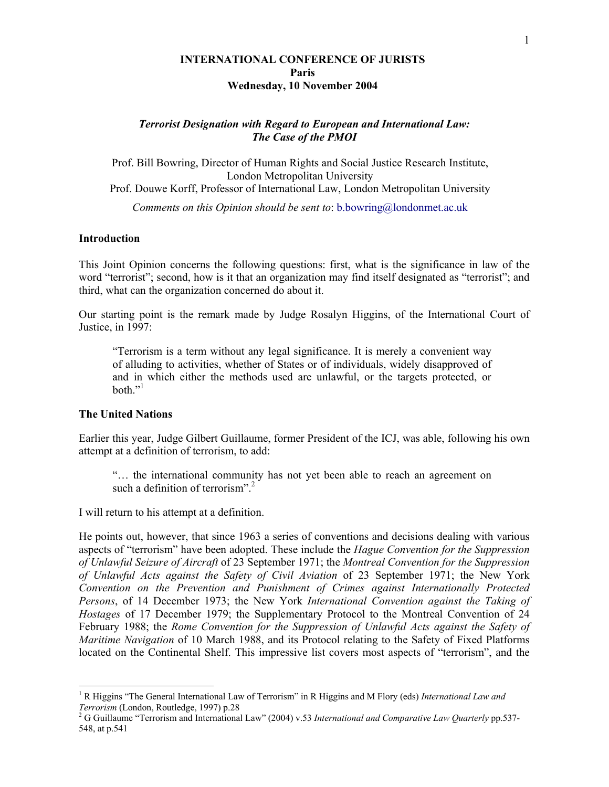## **INTERNATIONAL CONFERENCE OF JURISTS Paris Wednesday, 10 November 2004**

### *Terrorist Designation with Regard to European and International Law: The Case of the PMOI*

Prof. Bill Bowring, Director of Human Rights and Social Justice Research Institute, London Metropolitan University Prof. Douwe Korff, Professor of International Law, London Metropolitan University *Comments on this Opinion should be sent to*: b.bowring@londonmet.ac.uk

#### **Introduction**

This Joint Opinion concerns the following questions: first, what is the significance in law of the word "terrorist"; second, how is it that an organization may find itself designated as "terrorist"; and third, what can the organization concerned do about it.

Our starting point is the remark made by Judge Rosalyn Higgins, of the International Court of Justice, in 1997:

"Terrorism is a term without any legal significance. It is merely a convenient way of alluding to activities, whether of States or of individuals, widely disapproved of and in which either the methods used are unlawful, or the targets protected, or  $both$ <sup>"1</sup>

#### **The United Nations**

 $\overline{a}$ 

Earlier this year, Judge Gilbert Guillaume, former President of the ICJ, was able, following his own attempt at a definition of terrorism, to add:

"… the international community has not yet been able to reach an agreement on such a definition of terrorism"<sup>2</sup>

I will return to his attempt at a definition.

He points out, however, that since 1963 a series of conventions and decisions dealing with various aspects of "terrorism" have been adopted. These include the *Hague Convention for the Suppression of Unlawful Seizure of Aircraft* of 23 September 1971; the *Montreal Convention for the Suppression of Unlawful Acts against the Safety of Civil Aviation* of 23 September 1971; the New York *Convention on the Prevention and Punishment of Crimes against Internationally Protected Persons*, of 14 December 1973; the New York *International Convention against the Taking of Hostages* of 17 December 1979; the Supplementary Protocol to the Montreal Convention of 24 February 1988; the *Rome Convention for the Suppression of Unlawful Acts against the Safety of Maritime Navigation* of 10 March 1988, and its Protocol relating to the Safety of Fixed Platforms located on the Continental Shelf. This impressive list covers most aspects of "terrorism", and the

<sup>&</sup>lt;sup>1</sup> R Higgins "The General International Law of Terrorism" in R Higgins and M Flory (eds) *International Law and Terrorism* (London, Routledge, 1997) p.28

<sup>&</sup>lt;sup>2</sup> G Guillaume "Terrorism and International Law" (2004) v.53 *International and Comparative Law Quarterly* pp.537-548, at p.541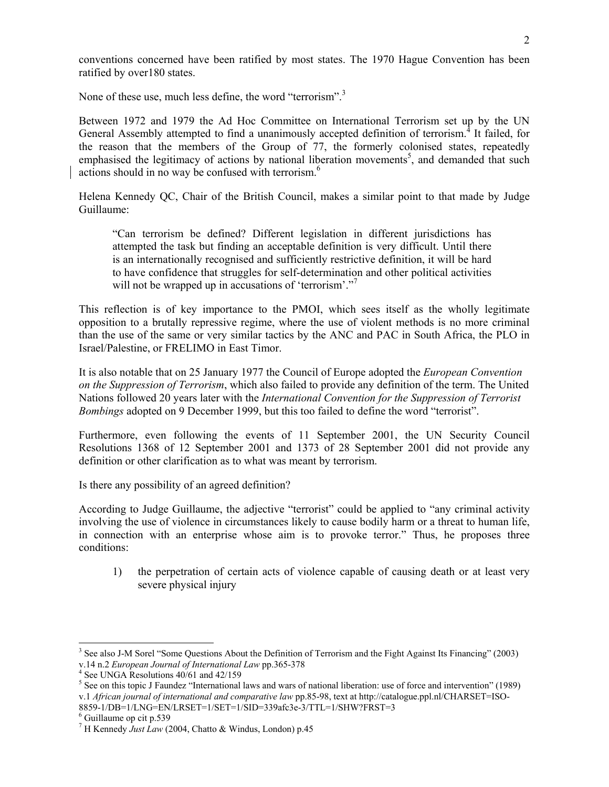conventions concerned have been ratified by most states. The 1970 Hague Convention has been ratified by over180 states.

None of these use, much less define, the word "terrorism".<sup>3</sup>

Between 1972 and 1979 the Ad Hoc Committee on International Terrorism set up by the UN General Assembly attempted to find a unanimously accepted definition of terrorism.<sup>4</sup> It failed, for the reason that the members of the Group of 77, the formerly colonised states, repeatedly emphasised the legitimacy of actions by national liberation movements<sup>5</sup>, and demanded that such actions should in no way be confused with terrorism.<sup>6</sup>

Helena Kennedy QC, Chair of the British Council, makes a similar point to that made by Judge Guillaume:

"Can terrorism be defined? Different legislation in different jurisdictions has attempted the task but finding an acceptable definition is very difficult. Until there is an internationally recognised and sufficiently restrictive definition, it will be hard to have confidence that struggles for self-determination and other political activities will not be wrapped up in accusations of 'terrorism'."<sup>7</sup>

This reflection is of key importance to the PMOI, which sees itself as the wholly legitimate opposition to a brutally repressive regime, where the use of violent methods is no more criminal than the use of the same or very similar tactics by the ANC and PAC in South Africa, the PLO in Israel/Palestine, or FRELIMO in East Timor.

It is also notable that on 25 January 1977 the Council of Europe adopted the *European Convention on the Suppression of Terrorism*, which also failed to provide any definition of the term. The United Nations followed 20 years later with the *International Convention for the Suppression of Terrorist Bombings* adopted on 9 December 1999, but this too failed to define the word "terrorist".

Furthermore, even following the events of 11 September 2001, the UN Security Council Resolutions 1368 of 12 September 2001 and 1373 of 28 September 2001 did not provide any definition or other clarification as to what was meant by terrorism.

Is there any possibility of an agreed definition?

According to Judge Guillaume, the adjective "terrorist" could be applied to "any criminal activity involving the use of violence in circumstances likely to cause bodily harm or a threat to human life, in connection with an enterprise whose aim is to provoke terror." Thus, he proposes three conditions:

1) the perpetration of certain acts of violence capable of causing death or at least very severe physical injury

<sup>&</sup>lt;sup>3</sup> See also J-M Sorel "Some Questions About the Definition of Terrorism and the Fight Against Its Financing" (2003) v.14 n.2 *European Journal of International Law* pp.365-378 4

 $4$  See UNGA Resolutions  $40/61$  and  $42/159$ 

 $<sup>5</sup>$  See on this topic J Faundez "International laws and wars of national liberation: use of force and intervention" (1989)</sup> v.1 *African journal of international and comparative law* pp.85-98, text at http://catalogue.ppl.nl/CHARSET=ISO-8859-1/DB=1/LNG=EN/LRSET=1/SET=1/SID=339afc3e-3/TTL=1/SHW?FRST=3 6

 $6$  Guillaume op cit p.539

<sup>&</sup>lt;sup>7</sup> H Kennedy  $\hat{J}_{ust}$   $\hat{L}$ aw (2004, Chatto & Windus, London) p.45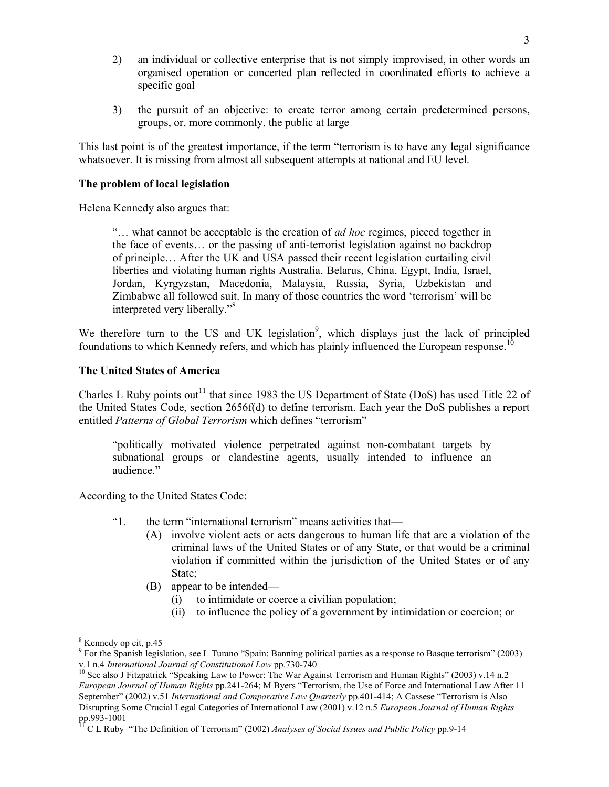- 2) an individual or collective enterprise that is not simply improvised, in other words an organised operation or concerted plan reflected in coordinated efforts to achieve a specific goal
- 3) the pursuit of an objective: to create terror among certain predetermined persons, groups, or, more commonly, the public at large

This last point is of the greatest importance, if the term "terrorism is to have any legal significance whatsoever. It is missing from almost all subsequent attempts at national and EU level.

## **The problem of local legislation**

Helena Kennedy also argues that:

"… what cannot be acceptable is the creation of *ad hoc* regimes, pieced together in the face of events… or the passing of anti-terrorist legislation against no backdrop of principle… After the UK and USA passed their recent legislation curtailing civil liberties and violating human rights Australia, Belarus, China, Egypt, India, Israel, Jordan, Kyrgyzstan, Macedonia, Malaysia, Russia, Syria, Uzbekistan and Zimbabwe all followed suit. In many of those countries the word 'terrorism' will be interpreted very liberally."<sup>8</sup>

We therefore turn to the US and UK legislation<sup>9</sup>, which displays just the lack of principled foundations to which Kennedy refers, and which has plainly influenced the European response.<sup>1</sup>

## **The United States of America**

Charles L Ruby points out<sup>11</sup> that since 1983 the US Department of State (DoS) has used Title 22 of the United States Code, section 2656f(d) to define terrorism. Each year the DoS publishes a report entitled *Patterns of Global Terrorism* which defines "terrorism"

"politically motivated violence perpetrated against non-combatant targets by subnational groups or clandestine agents, usually intended to influence an audience."

According to the United States Code:

- "1. the term "international terrorism" means activities that—
	- (A) involve violent acts or acts dangerous to human life that are a violation of the criminal laws of the United States or of any State, or that would be a criminal violation if committed within the jurisdiction of the United States or of any State;
		- (B) appear to be intended—
			- (i) to intimidate or coerce a civilian population;
			- (ii) to influence the policy of a government by intimidation or coercion; or

<sup>8</sup> Kennedy op cit, p.45

<sup>&</sup>lt;sup>9</sup> For the Spanish legislation, see L Turano "Spain: Banning political parties as a response to Basque terrorism" (2003)

v.1 n.4 *International Journal of Constitutional Law* pp.730-740<br><sup>10</sup> See also J Fitzpatrick "Speaking Law to Power: The War Against Terrorism and Human Rights" (2003) v.14 n.2 *European Journal of Human Rights* pp.241-264; M Byers "Terrorism, the Use of Force and International Law After 11 September" (2002) v.51 *International and Comparative Law Quarterly* pp.401-414; A Cassese "Terrorism is Also Disrupting Some Crucial Legal Categories of International Law (2001) v.12 n.5 *European Journal of Human Rights* pp.993-1001

<sup>11</sup> C L Ruby "The Definition of Terrorism" (2002) *Analyses of Social Issues and Public Policy* pp.9-14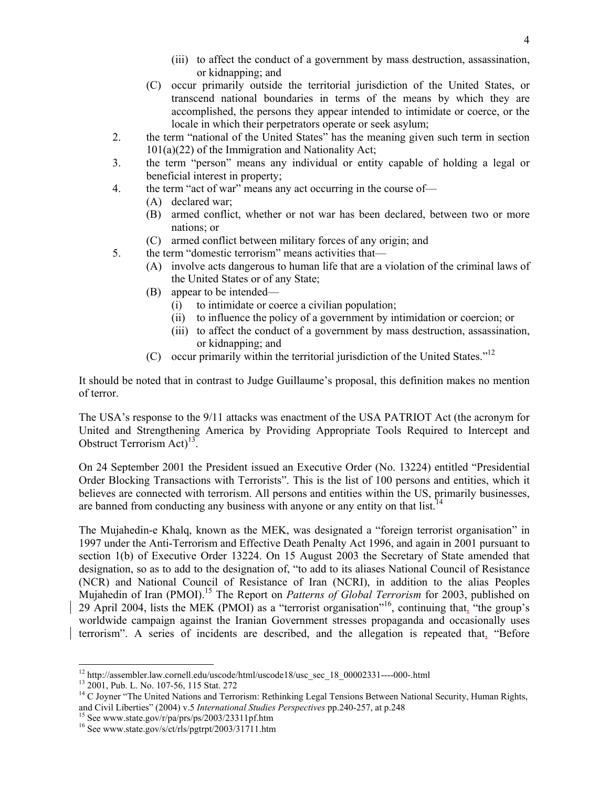- (iii) to affect the conduct of a government by mass destruction, assassination, or kidnapping; and
- (C) occur primarily outside the territorial jurisdiction of the United States, or transcend national boundaries in terms of the means by which they are accomplished, the persons they appear intended to intimidate or coerce, or the locale in which their perpetrators operate or seek asylum;
- 2. the term "national of the United States" has the meaning given such term in section 101(a)(22) of the Immigration and Nationality Act;
- 3. the term "person" means any individual or entity capable of holding a legal or beneficial interest in property;
- 4. the term "act of war" means any act occurring in the course of—
	- (A) declared war;
	- (B) armed conflict, whether or not war has been declared, between two or more nations; or
	- (C) armed conflict between military forces of any origin; and
- 5. the term "domestic terrorism" means activities that—
	- (A) involve acts dangerous to human life that are a violation of the criminal laws of the United States or of any State;
	- (B) appear to be intended—
		- (i) to intimidate or coerce a civilian population;
		- (ii) to influence the policy of a government by intimidation or coercion; or
		- (iii) to affect the conduct of a government by mass destruction, assassination, or kidnapping; and
	- (C) occur primarily within the territorial jurisdiction of the United States."<sup>12</sup>

It should be noted that in contrast to Judge Guillaume's proposal, this definition makes no mention of terror.

The USA's response to the 9/11 attacks was enactment of the USA PATRIOT Act (the acronym for United and Strengthening America by Providing Appropriate Tools Required to Intercept and Obstruct Terrorism  $Act)^{13}$ .

On 24 September 2001 the President issued an Executive Order (No. 13224) entitled "Presidential Order Blocking Transactions with Terrorists". This is the list of 100 persons and entities, which it believes are connected with terrorism. All persons and entities within the US, primarily businesses, are banned from conducting any business with anyone or any entity on that list.<sup>14</sup>

The Mujahedin-e Khalq, known as the MEK, was designated a "foreign terrorist organisation" in 1997 under the Anti-Terrorism and Effective Death Penalty Act 1996, and again in 2001 pursuant to section 1(b) of Executive Order 13224. On 15 August 2003 the Secretary of State amended that designation, so as to add to the designation of, "to add to its aliases National Council of Resistance (NCR) and National Council of Resistance of Iran (NCRI), in addition to the alias Peoples Mujahedin of Iran (PMOI).<sup>15</sup> The Report on *Patterns of Global Terrorism* for 2003, published on 29 April 2004, lists the MEK (PMOI) as a "terrorist organisation"16, continuing that, "the group's worldwide campaign against the Iranian Government stresses propaganda and occasionally uses terrorism". A series of incidents are described, and the allegation is repeated that, "Before

<sup>&</sup>lt;sup>12</sup> http://assembler.law.cornell.edu/uscode/html/uscode18/usc\_sec\_18\_00002331----000-.html

<sup>&</sup>lt;sup>13</sup> 2001, Pub. L. No. 107-56, 115 Stat. 272

 $14$  C Joyner "The United Nations and Terrorism: Rethinking Legal Tensions Between National Security, Human Rights, and Civil Liberties" (2004) v.5 *International Studies Perspectives* pp.240-257, at p.248 15 See www.state.gov/r/pa/prs/ps/2003/23311pf.htm

<sup>&</sup>lt;sup>16</sup> See www.state.gov/s/ct/rls/pgtrpt/2003/31711.htm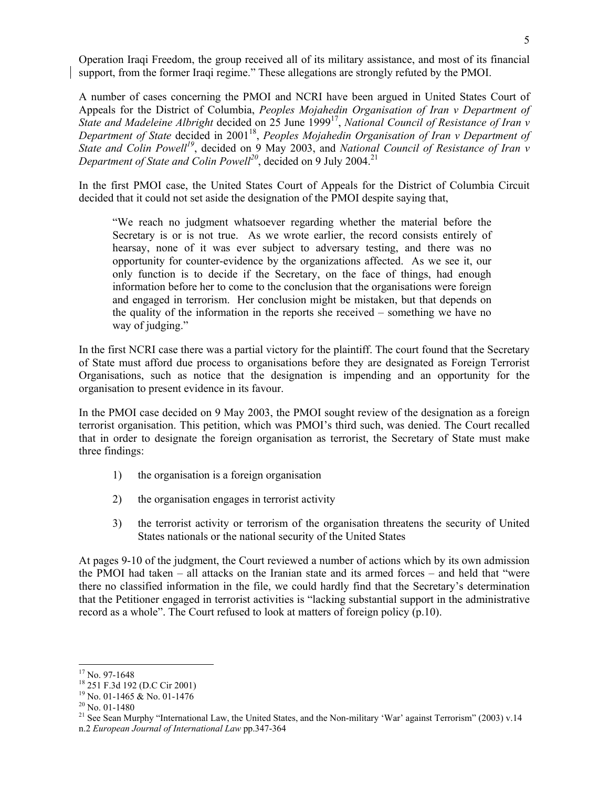Operation Iraqi Freedom, the group received all of its military assistance, and most of its financial support, from the former Iraqi regime." These allegations are strongly refuted by the PMOI.

A number of cases concerning the PMOI and NCRI have been argued in United States Court of Appeals for the District of Columbia, *Peoples Mojahedin Organisation of Iran v Department of State and Madeleine Albright* decided on 25 June 199917, *National Council of Resistance of Iran v Department of State* decided in 200118, *Peoples Mojahedin Organisation of Iran v Department of State and Colin Powell19*, decided on 9 May 2003, and *National Council of Resistance of Iran v Department of State and Colin Powell<sup>20</sup>*, decided on 9 July 2004.<sup>21</sup>

In the first PMOI case, the United States Court of Appeals for the District of Columbia Circuit decided that it could not set aside the designation of the PMOI despite saying that,

"We reach no judgment whatsoever regarding whether the material before the Secretary is or is not true. As we wrote earlier, the record consists entirely of hearsay, none of it was ever subject to adversary testing, and there was no opportunity for counter-evidence by the organizations affected. As we see it, our only function is to decide if the Secretary, on the face of things, had enough information before her to come to the conclusion that the organisations were foreign and engaged in terrorism. Her conclusion might be mistaken, but that depends on the quality of the information in the reports she received – something we have no way of judging."

In the first NCRI case there was a partial victory for the plaintiff. The court found that the Secretary of State must afford due process to organisations before they are designated as Foreign Terrorist Organisations, such as notice that the designation is impending and an opportunity for the organisation to present evidence in its favour.

In the PMOI case decided on 9 May 2003, the PMOI sought review of the designation as a foreign terrorist organisation. This petition, which was PMOI's third such, was denied. The Court recalled that in order to designate the foreign organisation as terrorist, the Secretary of State must make three findings:

- 1) the organisation is a foreign organisation
- 2) the organisation engages in terrorist activity
- 3) the terrorist activity or terrorism of the organisation threatens the security of United States nationals or the national security of the United States

At pages 9-10 of the judgment, the Court reviewed a number of actions which by its own admission the PMOI had taken – all attacks on the Iranian state and its armed forces – and held that "were there no classified information in the file, we could hardly find that the Secretary's determination that the Petitioner engaged in terrorist activities is "lacking substantial support in the administrative record as a whole". The Court refused to look at matters of foreign policy (p.10).

 $\overline{a}$ 17 No. 97-1648

<sup>18 251</sup> F.3d 192 (D.C Cir 2001)

<sup>19</sup> No. 01-1465 & No. 01-1476

 $20$  No. 01-1480

<sup>&</sup>lt;sup>21</sup> See Sean Murphy "International Law, the United States, and the Non-military 'War' against Terrorism" (2003) v.14 n.2 *European Journal of International Law* pp.347-364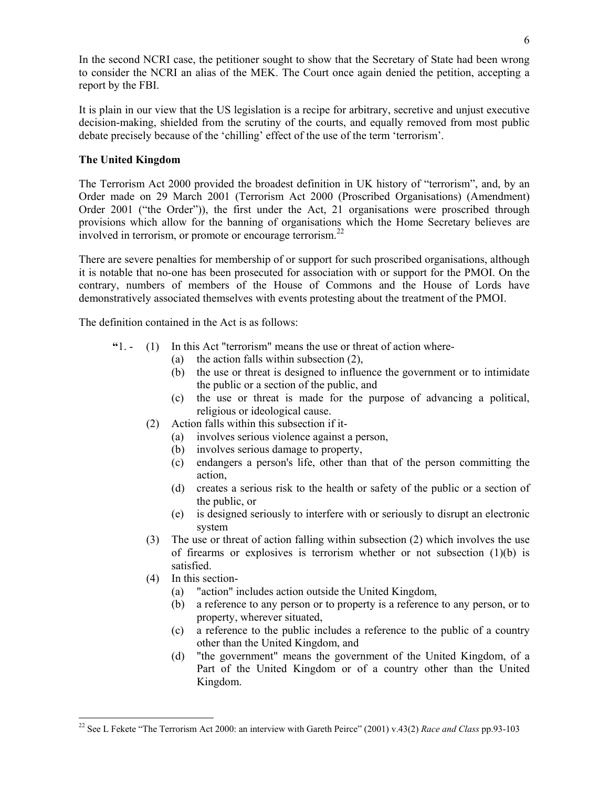In the second NCRI case, the petitioner sought to show that the Secretary of State had been wrong to consider the NCRI an alias of the MEK. The Court once again denied the petition, accepting a report by the FBI.

It is plain in our view that the US legislation is a recipe for arbitrary, secretive and unjust executive decision-making, shielded from the scrutiny of the courts, and equally removed from most public debate precisely because of the 'chilling' effect of the use of the term 'terrorism'.

## **The United Kingdom**

The Terrorism Act 2000 provided the broadest definition in UK history of "terrorism", and, by an Order made on 29 March 2001 (Terrorism Act 2000 (Proscribed Organisations) (Amendment) Order 2001 ("the Order")), the first under the Act, 21 organisations were proscribed through provisions which allow for the banning of organisations which the Home Secretary believes are involved in terrorism, or promote or encourage terrorism.<sup>22</sup>

There are severe penalties for membership of or support for such proscribed organisations, although it is notable that no-one has been prosecuted for association with or support for the PMOI. On the contrary, numbers of members of the House of Commons and the House of Lords have demonstratively associated themselves with events protesting about the treatment of the PMOI.

The definition contained in the Act is as follows:

- **"**1. (1) In this Act "terrorism" means the use or threat of action where-
	- (a) the action falls within subsection (2),
	- (b) the use or threat is designed to influence the government or to intimidate the public or a section of the public, and
	- (c) the use or threat is made for the purpose of advancing a political, religious or ideological cause.
	- (2) Action falls within this subsection if it-
		- (a) involves serious violence against a person,
		- (b) involves serious damage to property,
		- (c) endangers a person's life, other than that of the person committing the action,
		- (d) creates a serious risk to the health or safety of the public or a section of the public, or
		- (e) is designed seriously to interfere with or seriously to disrupt an electronic system
	- (3) The use or threat of action falling within subsection (2) which involves the use of firearms or explosives is terrorism whether or not subsection  $(1)(b)$  is satisfied.
	- (4) In this section-

- (a) "action" includes action outside the United Kingdom,
- (b) a reference to any person or to property is a reference to any person, or to property, wherever situated,
- (c) a reference to the public includes a reference to the public of a country other than the United Kingdom, and
- (d) "the government" means the government of the United Kingdom, of a Part of the United Kingdom or of a country other than the United Kingdom.

<sup>22</sup> See L Fekete "The Terrorism Act 2000: an interview with Gareth Peirce" (2001) v.43(2) *Race and Class* pp.93-103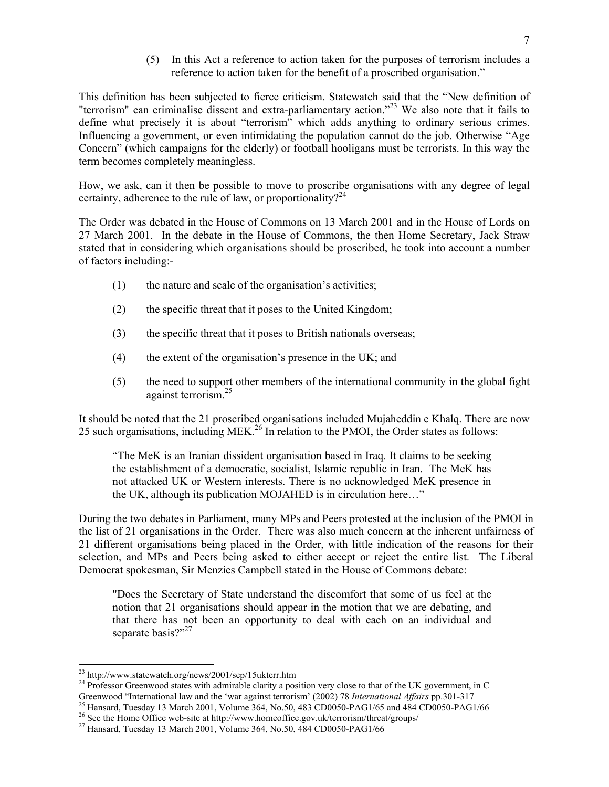(5) In this Act a reference to action taken for the purposes of terrorism includes a reference to action taken for the benefit of a proscribed organisation."

This definition has been subjected to fierce criticism. Statewatch said that the "New definition of "terrorism" can criminalise dissent and extra-parliamentary action."<sup>23</sup> We also note that it fails to define what precisely it is about "terrorism" which adds anything to ordinary serious crimes. Influencing a government, or even intimidating the population cannot do the job. Otherwise "Age Concern" (which campaigns for the elderly) or football hooligans must be terrorists. In this way the term becomes completely meaningless.

How, we ask, can it then be possible to move to proscribe organisations with any degree of legal certainty, adherence to the rule of law, or proportionality?<sup>24</sup>

The Order was debated in the House of Commons on 13 March 2001 and in the House of Lords on 27 March 2001. In the debate in the House of Commons, the then Home Secretary, Jack Straw stated that in considering which organisations should be proscribed, he took into account a number of factors including:-

- (1) the nature and scale of the organisation's activities;
- (2) the specific threat that it poses to the United Kingdom;
- (3) the specific threat that it poses to British nationals overseas;
- (4) the extent of the organisation's presence in the UK; and
- (5) the need to support other members of the international community in the global fight against terrorism.<sup>25</sup>

It should be noted that the 21 proscribed organisations included Mujaheddin e Khalq. There are now 25 such organisations, including MEK.<sup>26</sup> In relation to the PMOI, the Order states as follows:

"The MeK is an Iranian dissident organisation based in Iraq. It claims to be seeking the establishment of a democratic, socialist, Islamic republic in Iran. The MeK has not attacked UK or Western interests. There is no acknowledged MeK presence in the UK, although its publication MOJAHED is in circulation here…"

During the two debates in Parliament, many MPs and Peers protested at the inclusion of the PMOI in the list of 21 organisations in the Order. There was also much concern at the inherent unfairness of 21 different organisations being placed in the Order, with little indication of the reasons for their selection, and MPs and Peers being asked to either accept or reject the entire list. The Liberal Democrat spokesman, Sir Menzies Campbell stated in the House of Commons debate:

"Does the Secretary of State understand the discomfort that some of us feel at the notion that 21 organisations should appear in the motion that we are debating, and that there has not been an opportunity to deal with each on an individual and separate basis?"<sup>27</sup>

 $\overline{a}$ <sup>23</sup> http://www.statewatch.org/news/2001/sep/15ukterr.htm

<sup>&</sup>lt;sup>24</sup> Professor Greenwood states with admirable clarity a position very close to that of the UK government, in C

Greenwood "International law and the 'war against terrorism' (2002) 78 *International Affairs* pp.301-317<br><sup>25</sup> Hansard, Tuesday 13 March 2001, Volume 364, No.50, 483 CD0050-PAG1/65 and 484 CD0050-PAG1/66

<sup>&</sup>lt;sup>26</sup> See the Home Office web-site at http://www.homeoffice.gov.uk/terrorism/threat/groups/ $^{27}$ Hansard, Tuesday 13 March 2001, Volume 364, No.50, 484 CD0050-PAG1/66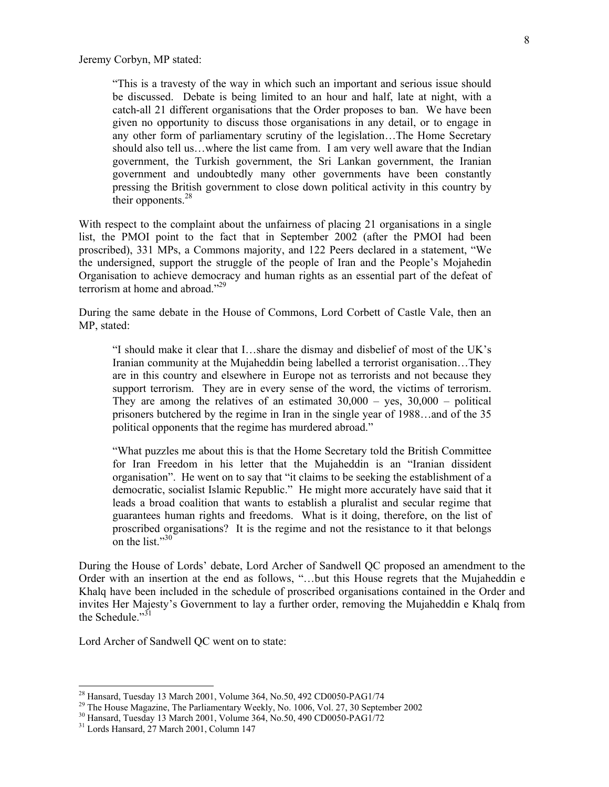"This is a travesty of the way in which such an important and serious issue should be discussed. Debate is being limited to an hour and half, late at night, with a catch-all 21 different organisations that the Order proposes to ban. We have been given no opportunity to discuss those organisations in any detail, or to engage in any other form of parliamentary scrutiny of the legislation…The Home Secretary should also tell us…where the list came from. I am very well aware that the Indian government, the Turkish government, the Sri Lankan government, the Iranian government and undoubtedly many other governments have been constantly pressing the British government to close down political activity in this country by their opponents.28

With respect to the complaint about the unfairness of placing 21 organisations in a single list, the PMOI point to the fact that in September 2002 (after the PMOI had been proscribed), 331 MPs, a Commons majority, and 122 Peers declared in a statement, "We the undersigned, support the struggle of the people of Iran and the People's Mojahedin Organisation to achieve democracy and human rights as an essential part of the defeat of terrorism at home and abroad."<sup>29</sup>

During the same debate in the House of Commons, Lord Corbett of Castle Vale, then an MP, stated:

"I should make it clear that I…share the dismay and disbelief of most of the UK's Iranian community at the Mujaheddin being labelled a terrorist organisation…They are in this country and elsewhere in Europe not as terrorists and not because they support terrorism. They are in every sense of the word, the victims of terrorism. They are among the relatives of an estimated  $30,000 - \text{ves}$ ,  $30,000 - \text{politional}$ prisoners butchered by the regime in Iran in the single year of 1988…and of the 35 political opponents that the regime has murdered abroad."

"What puzzles me about this is that the Home Secretary told the British Committee for Iran Freedom in his letter that the Mujaheddin is an "Iranian dissident organisation". He went on to say that "it claims to be seeking the establishment of a democratic, socialist Islamic Republic." He might more accurately have said that it leads a broad coalition that wants to establish a pluralist and secular regime that guarantees human rights and freedoms. What is it doing, therefore, on the list of proscribed organisations? It is the regime and not the resistance to it that belongs on the list."<sup>30</sup>

During the House of Lords' debate, Lord Archer of Sandwell QC proposed an amendment to the Order with an insertion at the end as follows, "…but this House regrets that the Mujaheddin e Khalq have been included in the schedule of proscribed organisations contained in the Order and invites Her Majesty's Government to lay a further order, removing the Mujaheddin e Khalq from the Schedule<sup> $"31$ </sup>

Lord Archer of Sandwell QC went on to state:

<sup>&</sup>lt;sup>28</sup> Hansard, Tuesday 13 March 2001, Volume 364, No.50, 492 CD0050-PAG1/74

<sup>&</sup>lt;sup>29</sup> The House Magazine, The Parliamentary Weekly, No. 1006, Vol. 27, 30 September 2002

<sup>30</sup> Hansard, Tuesday 13 March 2001, Volume 364, No.50, 490 CD0050-PAG1/72

<sup>&</sup>lt;sup>31</sup> Lords Hansard, 27 March 2001, Column 147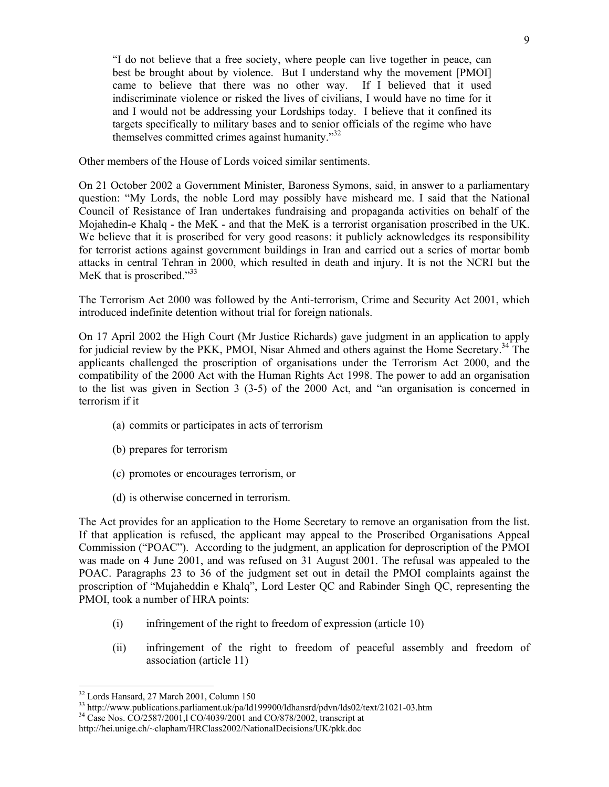"I do not believe that a free society, where people can live together in peace, can best be brought about by violence. But I understand why the movement [PMOI] came to believe that there was no other way. If I believed that it used indiscriminate violence or risked the lives of civilians, I would have no time for it and I would not be addressing your Lordships today. I believe that it confined its targets specifically to military bases and to senior officials of the regime who have themselves committed crimes against humanity."<sup>32</sup>

Other members of the House of Lords voiced similar sentiments.

On 21 October 2002 a Government Minister, Baroness Symons, said, in answer to a parliamentary question: "My Lords, the noble Lord may possibly have misheard me. I said that the National Council of Resistance of Iran undertakes fundraising and propaganda activities on behalf of the Mojahedin-e Khalq - the MeK - and that the MeK is a terrorist organisation proscribed in the UK. We believe that it is proscribed for very good reasons: it publicly acknowledges its responsibility for terrorist actions against government buildings in Iran and carried out a series of mortar bomb attacks in central Tehran in 2000, which resulted in death and injury. It is not the NCRI but the MeK that is proscribed."<sup>33</sup>

The Terrorism Act 2000 was followed by the Anti-terrorism, Crime and Security Act 2001, which introduced indefinite detention without trial for foreign nationals.

On 17 April 2002 the High Court (Mr Justice Richards) gave judgment in an application to apply for judicial review by the PKK, PMOI, Nisar Ahmed and others against the Home Secretary.<sup>34</sup> The applicants challenged the proscription of organisations under the Terrorism Act 2000, and the compatibility of the 2000 Act with the Human Rights Act 1998. The power to add an organisation to the list was given in Section 3 (3-5) of the 2000 Act, and "an organisation is concerned in terrorism if it

- (a) commits or participates in acts of terrorism
- (b) prepares for terrorism
- (c) promotes or encourages terrorism, or
- (d) is otherwise concerned in terrorism.

The Act provides for an application to the Home Secretary to remove an organisation from the list. If that application is refused, the applicant may appeal to the Proscribed Organisations Appeal Commission ("POAC"). According to the judgment, an application for deproscription of the PMOI was made on 4 June 2001, and was refused on 31 August 2001. The refusal was appealed to the POAC. Paragraphs 23 to 36 of the judgment set out in detail the PMOI complaints against the proscription of "Mujaheddin e Khalq", Lord Lester QC and Rabinder Singh QC, representing the PMOI, took a number of HRA points:

- (i) infringement of the right to freedom of expression (article 10)
- (ii) infringement of the right to freedom of peaceful assembly and freedom of association (article 11)

<sup>&</sup>lt;sup>32</sup> Lords Hansard, 27 March 2001, Column 150

<sup>33</sup> http://www.publications.parliament.uk/pa/ld199900/ldhansrd/pdvn/lds02/text/21021-03.htm

 $34 \text{ Case Nos. } \text{CO}/2587/2001$ , I CO/4039/2001 and CO/878/2002, transcript at

http://hei.unige.ch/~clapham/HRClass2002/NationalDecisions/UK/pkk.doc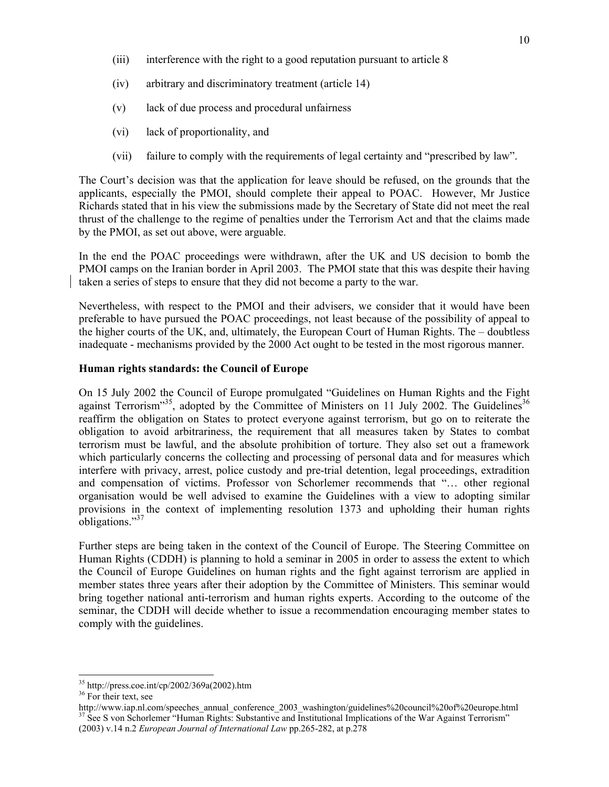- (iii) interference with the right to a good reputation pursuant to article 8
- (iv) arbitrary and discriminatory treatment (article 14)
- (v) lack of due process and procedural unfairness
- (vi) lack of proportionality, and
- (vii) failure to comply with the requirements of legal certainty and "prescribed by law".

The Court's decision was that the application for leave should be refused, on the grounds that the applicants, especially the PMOI, should complete their appeal to POAC. However, Mr Justice Richards stated that in his view the submissions made by the Secretary of State did not meet the real thrust of the challenge to the regime of penalties under the Terrorism Act and that the claims made by the PMOI, as set out above, were arguable.

In the end the POAC proceedings were withdrawn, after the UK and US decision to bomb the PMOI camps on the Iranian border in April 2003. The PMOI state that this was despite their having taken a series of steps to ensure that they did not become a party to the war.

Nevertheless, with respect to the PMOI and their advisers, we consider that it would have been preferable to have pursued the POAC proceedings, not least because of the possibility of appeal to the higher courts of the UK, and, ultimately, the European Court of Human Rights. The – doubtless inadequate - mechanisms provided by the 2000 Act ought to be tested in the most rigorous manner.

# **Human rights standards: the Council of Europe**

On 15 July 2002 the Council of Europe promulgated "Guidelines on Human Rights and the Fight against Terrorism"<sup>35</sup>, adopted by the Committee of Ministers on 11 July 2002. The Guidelines<sup>36</sup> reaffirm the obligation on States to protect everyone against terrorism, but go on to reiterate the obligation to avoid arbitrariness, the requirement that all measures taken by States to combat terrorism must be lawful, and the absolute prohibition of torture. They also set out a framework which particularly concerns the collecting and processing of personal data and for measures which interfere with privacy, arrest, police custody and pre-trial detention, legal proceedings, extradition and compensation of victims. Professor von Schorlemer recommends that "… other regional organisation would be well advised to examine the Guidelines with a view to adopting similar provisions in the context of implementing resolution 1373 and upholding their human rights obligations."37

Further steps are being taken in the context of the Council of Europe. The Steering Committee on Human Rights (CDDH) is planning to hold a seminar in 2005 in order to assess the extent to which the Council of Europe Guidelines on human rights and the fight against terrorism are applied in member states three years after their adoption by the Committee of Ministers. This seminar would bring together national anti-terrorism and human rights experts. According to the outcome of the seminar, the CDDH will decide whether to issue a recommendation encouraging member states to comply with the guidelines.

 $\overline{a}$ 35 http://press.coe.int/cp/2002/369a(2002).htm

 $^{36}$  For their text, see<br>http://www.iap.nl.com/speeches\_annual\_conference\_2003\_washington/guidelines%20council%20of%20europe.html  $h^3$  See S von Schorlemer "Human Rights: Substantive and Institutional Implications of the War Against Terrorism" (2003) v.14 n.2 *European Journal of International Law* pp.265-282, at p.278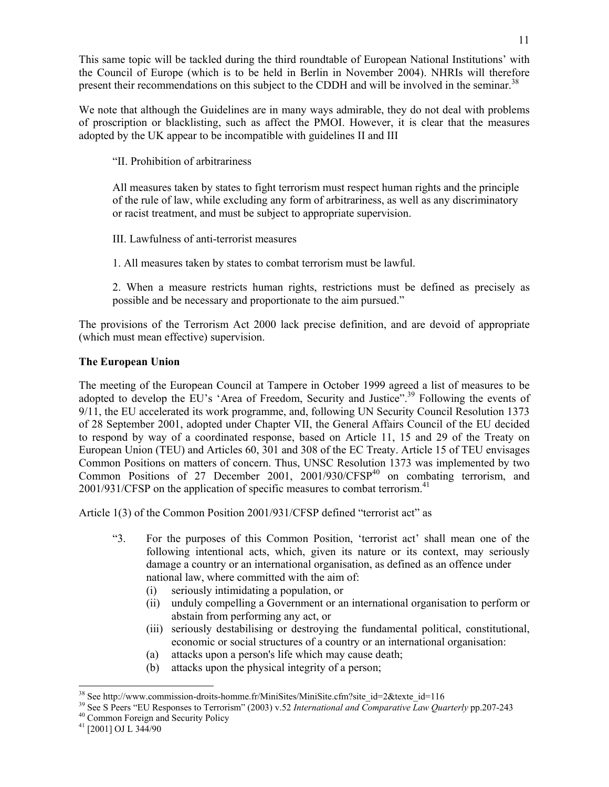This same topic will be tackled during the third roundtable of European National Institutions' with the Council of Europe (which is to be held in Berlin in November 2004). NHRIs will therefore present their recommendations on this subject to the CDDH and will be involved in the seminar.<sup>38</sup>

We note that although the Guidelines are in many ways admirable, they do not deal with problems of proscription or blacklisting, such as affect the PMOI. However, it is clear that the measures adopted by the UK appear to be incompatible with guidelines II and III

"II. Prohibition of arbitrariness

All measures taken by states to fight terrorism must respect human rights and the principle of the rule of law, while excluding any form of arbitrariness, as well as any discriminatory or racist treatment, and must be subject to appropriate supervision.

III. Lawfulness of anti-terrorist measures

1. All measures taken by states to combat terrorism must be lawful.

2. When a measure restricts human rights, restrictions must be defined as precisely as possible and be necessary and proportionate to the aim pursued."

The provisions of the Terrorism Act 2000 lack precise definition, and are devoid of appropriate (which must mean effective) supervision.

## **The European Union**

The meeting of the European Council at Tampere in October 1999 agreed a list of measures to be adopted to develop the EU's 'Area of Freedom, Security and Justice".<sup>39</sup> Following the events of 9/11, the EU accelerated its work programme, and, following UN Security Council Resolution 1373 of 28 September 2001, adopted under Chapter VII, the General Affairs Council of the EU decided to respond by way of a coordinated response, based on Article 11, 15 and 29 of the Treaty on European Union (TEU) and Articles 60, 301 and 308 of the EC Treaty. Article 15 of TEU envisages Common Positions on matters of concern. Thus, UNSC Resolution 1373 was implemented by two Common Positions of 27 December 2001, 2001/930/CFSP<sup>40</sup> on combating terrorism, and  $2001/931/CFSP$  on the application of specific measures to combat terrorism.<sup>41</sup>

Article 1(3) of the Common Position 2001/931/CFSP defined "terrorist act" as

- "3. For the purposes of this Common Position, 'terrorist act' shall mean one of the following intentional acts, which, given its nature or its context, may seriously damage a country or an international organisation, as defined as an offence under national law, where committed with the aim of:
	- (i) seriously intimidating a population, or
	- (ii) unduly compelling a Government or an international organisation to perform or abstain from performing any act, or
	- (iii) seriously destabilising or destroying the fundamental political, constitutional, economic or social structures of a country or an international organisation:
	- (a) attacks upon a person's life which may cause death;
	- (b) attacks upon the physical integrity of a person;

<sup>&</sup>lt;sup>38</sup> See http://www.commission-droits-homme.fr/MiniSites/MiniSite.cfm?site\_id=2&texte\_id=116

<sup>&</sup>lt;sup>39</sup> See S Peers "EU Responses to Terrorism" (2003) v.52 *International and Comparative Law Quarterly* pp.207-243 <sup>40</sup> Common Foreign and Security Policy

<sup>41 [2001]</sup> OJ L 344/90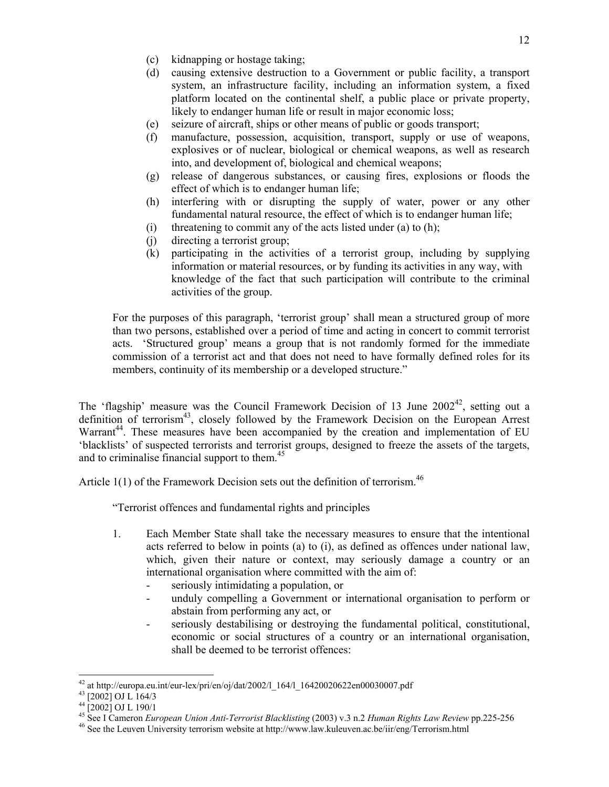- (c) kidnapping or hostage taking;
- (d) causing extensive destruction to a Government or public facility, a transport system, an infrastructure facility, including an information system, a fixed platform located on the continental shelf, a public place or private property, likely to endanger human life or result in major economic loss;
- (e) seizure of aircraft, ships or other means of public or goods transport;
- (f) manufacture, possession, acquisition, transport, supply or use of weapons, explosives or of nuclear, biological or chemical weapons, as well as research into, and development of, biological and chemical weapons;
- (g) release of dangerous substances, or causing fires, explosions or floods the effect of which is to endanger human life;
- (h) interfering with or disrupting the supply of water, power or any other fundamental natural resource, the effect of which is to endanger human life;
- (i) threatening to commit any of the acts listed under (a) to (h);
- (j) directing a terrorist group;
- (k) participating in the activities of a terrorist group, including by supplying information or material resources, or by funding its activities in any way, with knowledge of the fact that such participation will contribute to the criminal activities of the group.

For the purposes of this paragraph, 'terrorist group' shall mean a structured group of more than two persons, established over a period of time and acting in concert to commit terrorist acts. 'Structured group' means a group that is not randomly formed for the immediate commission of a terrorist act and that does not need to have formally defined roles for its members, continuity of its membership or a developed structure."

The 'flagship' measure was the Council Framework Decision of 13 June  $2002^{42}$ , setting out a definition of terrorism<sup>43</sup>, closely followed by the Framework Decision on the European Arrest Warrant<sup>44</sup>. These measures have been accompanied by the creation and implementation of EU 'blacklists' of suspected terrorists and terrorist groups, designed to freeze the assets of the targets, and to criminalise financial support to them.<sup>45</sup>

Article  $1(1)$  of the Framework Decision sets out the definition of terrorism.<sup>46</sup>

"Terrorist offences and fundamental rights and principles

- 1. Each Member State shall take the necessary measures to ensure that the intentional acts referred to below in points (a) to (i), as defined as offences under national law, which, given their nature or context, may seriously damage a country or an international organisation where committed with the aim of:
	- seriously intimidating a population, or
	- unduly compelling a Government or international organisation to perform or abstain from performing any act, or
	- seriously destabilising or destroying the fundamental political, constitutional, economic or social structures of a country or an international organisation, shall be deemed to be terrorist offences:

 $\overline{a}$  $42$  at http://europa.eu.int/eur-lex/pri/en/oj/dat/2002/l 164/l\_16420020622en00030007.pdf

<sup>43 [2002]</sup> OJ L 164/3

<sup>44 [2002]</sup> OJ L 190/1

<sup>&</sup>lt;sup>45</sup> See I Cameron *European Union Anti-Terrorist Blacklisting* (2003) v.3 n.2 *Human Rights Law Review* pp.225-256 <sup>46</sup> See the Leuven University terrorism website at http://www.law.kuleuven.ac.be/iir/eng/Terrorism.html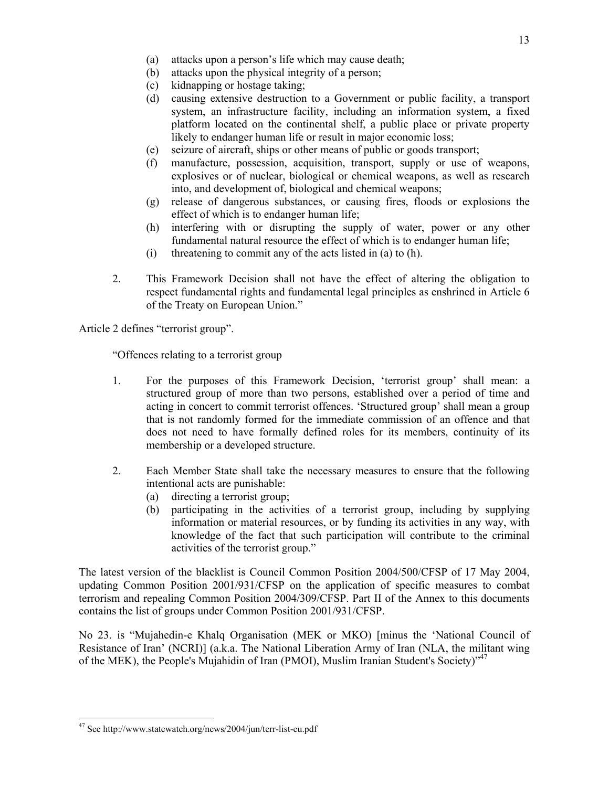- (a) attacks upon a person's life which may cause death;
- (b) attacks upon the physical integrity of a person;
- (c) kidnapping or hostage taking;
- (d) causing extensive destruction to a Government or public facility, a transport system, an infrastructure facility, including an information system, a fixed platform located on the continental shelf, a public place or private property likely to endanger human life or result in major economic loss;
- (e) seizure of aircraft, ships or other means of public or goods transport;
- (f) manufacture, possession, acquisition, transport, supply or use of weapons, explosives or of nuclear, biological or chemical weapons, as well as research into, and development of, biological and chemical weapons;
- (g) release of dangerous substances, or causing fires, floods or explosions the effect of which is to endanger human life;
- (h) interfering with or disrupting the supply of water, power or any other fundamental natural resource the effect of which is to endanger human life;
- (i) threatening to commit any of the acts listed in (a) to (h).
- 2. This Framework Decision shall not have the effect of altering the obligation to respect fundamental rights and fundamental legal principles as enshrined in Article 6 of the Treaty on European Union."

Article 2 defines "terrorist group".

"Offences relating to a terrorist group

- 1. For the purposes of this Framework Decision, 'terrorist group' shall mean: a structured group of more than two persons, established over a period of time and acting in concert to commit terrorist offences. 'Structured group' shall mean a group that is not randomly formed for the immediate commission of an offence and that does not need to have formally defined roles for its members, continuity of its membership or a developed structure.
- 2. Each Member State shall take the necessary measures to ensure that the following intentional acts are punishable:
	- (a) directing a terrorist group;
	- (b) participating in the activities of a terrorist group, including by supplying information or material resources, or by funding its activities in any way, with knowledge of the fact that such participation will contribute to the criminal activities of the terrorist group."

The latest version of the blacklist is Council Common Position 2004/500/CFSP of 17 May 2004, updating Common Position 2001/931/CFSP on the application of specific measures to combat terrorism and repealing Common Position 2004/309/CFSP. Part II of the Annex to this documents contains the list of groups under Common Position 2001/931/CFSP.

No 23. is "Mujahedin-e Khalq Organisation (MEK or MKO) [minus the 'National Council of Resistance of Iran' (NCRI)] (a.k.a. The National Liberation Army of Iran (NLA, the militant wing of the MEK), the People's Mujahidin of Iran (PMOI), Muslim Iranian Student's Society)"<sup>47</sup>

<sup>47</sup> See http://www.statewatch.org/news/2004/jun/terr-list-eu.pdf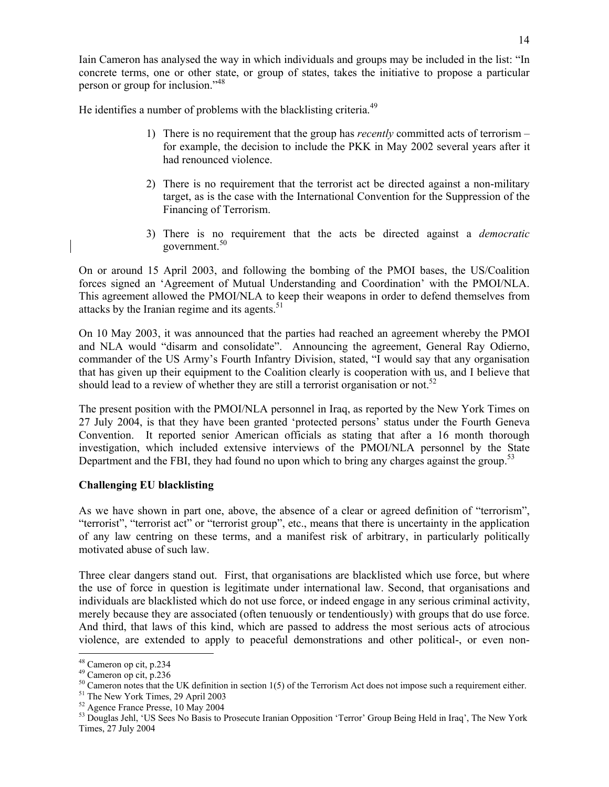Iain Cameron has analysed the way in which individuals and groups may be included in the list: "In concrete terms, one or other state, or group of states, takes the initiative to propose a particular person or group for inclusion."48

He identifies a number of problems with the blacklisting criteria.<sup>49</sup>

- 1) There is no requirement that the group has *recently* committed acts of terrorism for example, the decision to include the PKK in May 2002 several years after it had renounced violence.
- 2) There is no requirement that the terrorist act be directed against a non-military target, as is the case with the International Convention for the Suppression of the Financing of Terrorism.
- 3) There is no requirement that the acts be directed against a *democratic* government.<sup>50</sup>

On or around 15 April 2003, and following the bombing of the PMOI bases, the US/Coalition forces signed an 'Agreement of Mutual Understanding and Coordination' with the PMOI/NLA. This agreement allowed the PMOI/NLA to keep their weapons in order to defend themselves from attacks by the Iranian regime and its agents.<sup>51</sup>

On 10 May 2003, it was announced that the parties had reached an agreement whereby the PMOI and NLA would "disarm and consolidate". Announcing the agreement, General Ray Odierno, commander of the US Army's Fourth Infantry Division, stated, "I would say that any organisation that has given up their equipment to the Coalition clearly is cooperation with us, and I believe that should lead to a review of whether they are still a terrorist organisation or not.<sup>52</sup>

The present position with the PMOI/NLA personnel in Iraq, as reported by the New York Times on 27 July 2004, is that they have been granted 'protected persons' status under the Fourth Geneva Convention. It reported senior American officials as stating that after a 16 month thorough investigation, which included extensive interviews of the PMOI/NLA personnel by the State Department and the FBI, they had found no upon which to bring any charges against the group.<sup>53</sup>

## **Challenging EU blacklisting**

As we have shown in part one, above, the absence of a clear or agreed definition of "terrorism", "terrorist", "terrorist act" or "terrorist group", etc., means that there is uncertainty in the application of any law centring on these terms, and a manifest risk of arbitrary, in particularly politically motivated abuse of such law.

Three clear dangers stand out. First, that organisations are blacklisted which use force, but where the use of force in question is legitimate under international law. Second, that organisations and individuals are blacklisted which do not use force, or indeed engage in any serious criminal activity, merely because they are associated (often tenuously or tendentiously) with groups that do use force. And third, that laws of this kind, which are passed to address the most serious acts of atrocious violence, are extended to apply to peaceful demonstrations and other political-, or even non-

<sup>&</sup>lt;sup>48</sup> Cameron op cit, p.234

<sup>49</sup> Cameron op cit, p.236

 $50$  Cameron notes that the UK definition in section 1(5) of the Terrorism Act does not impose such a requirement either.

<sup>51</sup> The New York Times, 29 April 2003

<sup>52</sup> Agence France Presse, 10 May 2004

<sup>53</sup> Douglas Jehl, 'US Sees No Basis to Prosecute Iranian Opposition 'Terror' Group Being Held in Iraq', The New York Times, 27 July 2004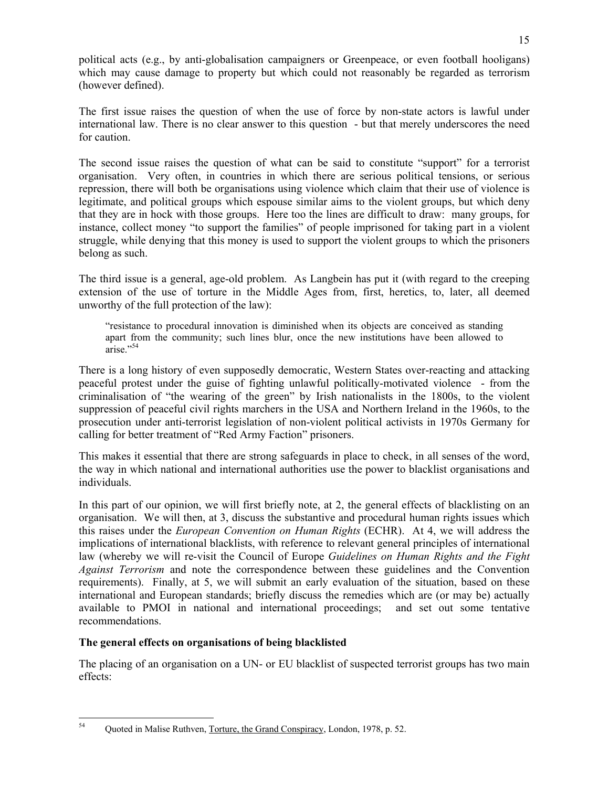political acts (e.g., by anti-globalisation campaigners or Greenpeace, or even football hooligans) which may cause damage to property but which could not reasonably be regarded as terrorism (however defined).

The first issue raises the question of when the use of force by non-state actors is lawful under international law. There is no clear answer to this question - but that merely underscores the need for caution.

The second issue raises the question of what can be said to constitute "support" for a terrorist organisation. Very often, in countries in which there are serious political tensions, or serious repression, there will both be organisations using violence which claim that their use of violence is legitimate, and political groups which espouse similar aims to the violent groups, but which deny that they are in hock with those groups. Here too the lines are difficult to draw: many groups, for instance, collect money "to support the families" of people imprisoned for taking part in a violent struggle, while denying that this money is used to support the violent groups to which the prisoners belong as such.

The third issue is a general, age-old problem. As Langbein has put it (with regard to the creeping extension of the use of torture in the Middle Ages from, first, heretics, to, later, all deemed unworthy of the full protection of the law):

"resistance to procedural innovation is diminished when its objects are conceived as standing apart from the community; such lines blur, once the new institutions have been allowed to arise."<sup>54</sup>

There is a long history of even supposedly democratic, Western States over-reacting and attacking peaceful protest under the guise of fighting unlawful politically-motivated violence - from the criminalisation of "the wearing of the green" by Irish nationalists in the 1800s, to the violent suppression of peaceful civil rights marchers in the USA and Northern Ireland in the 1960s, to the prosecution under anti-terrorist legislation of non-violent political activists in 1970s Germany for calling for better treatment of "Red Army Faction" prisoners.

This makes it essential that there are strong safeguards in place to check, in all senses of the word, the way in which national and international authorities use the power to blacklist organisations and individuals.

In this part of our opinion, we will first briefly note, at 2, the general effects of blacklisting on an organisation. We will then, at 3, discuss the substantive and procedural human rights issues which this raises under the *European Convention on Human Rights* (ECHR). At 4, we will address the implications of international blacklists, with reference to relevant general principles of international law (whereby we will re-visit the Council of Europe *Guidelines on Human Rights and the Fight Against Terrorism* and note the correspondence between these guidelines and the Convention requirements). Finally, at 5, we will submit an early evaluation of the situation, based on these international and European standards; briefly discuss the remedies which are (or may be) actually available to PMOI in national and international proceedings; and set out some tentative recommendations.

# **The general effects on organisations of being blacklisted**

The placing of an organisation on a UN- or EU blacklist of suspected terrorist groups has two main effects:

 $54$ Quoted in Malise Ruthven, Torture, the Grand Conspiracy, London, 1978, p. 52.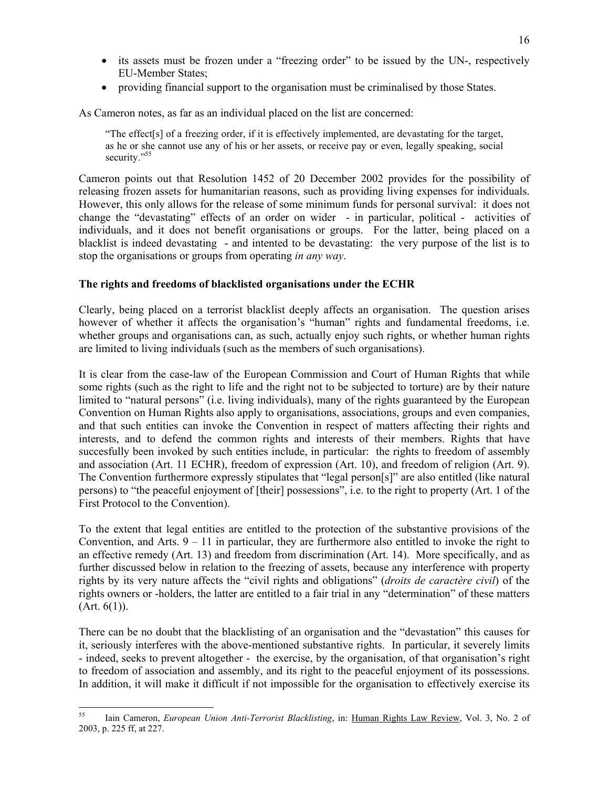- its assets must be frozen under a "freezing order" to be issued by the UN-, respectively EU-Member States;
- providing financial support to the organisation must be criminalised by those States.

As Cameron notes, as far as an individual placed on the list are concerned:

"The effect [s] of a freezing order, if it is effectively implemented, are devastating for the target, as he or she cannot use any of his or her assets, or receive pay or even, legally speaking, social security."<sup>55</sup>

Cameron points out that Resolution 1452 of 20 December 2002 provides for the possibility of releasing frozen assets for humanitarian reasons, such as providing living expenses for individuals. However, this only allows for the release of some minimum funds for personal survival: it does not change the "devastating" effects of an order on wider - in particular, political - activities of individuals, and it does not benefit organisations or groups. For the latter, being placed on a blacklist is indeed devastating - and intented to be devastating: the very purpose of the list is to stop the organisations or groups from operating *in any way*.

## **The rights and freedoms of blacklisted organisations under the ECHR**

Clearly, being placed on a terrorist blacklist deeply affects an organisation. The question arises however of whether it affects the organisation's "human" rights and fundamental freedoms, i.e. whether groups and organisations can, as such, actually enjoy such rights, or whether human rights are limited to living individuals (such as the members of such organisations).

It is clear from the case-law of the European Commission and Court of Human Rights that while some rights (such as the right to life and the right not to be subjected to torture) are by their nature limited to "natural persons" (i.e. living individuals), many of the rights guaranteed by the European Convention on Human Rights also apply to organisations, associations, groups and even companies, and that such entities can invoke the Convention in respect of matters affecting their rights and interests, and to defend the common rights and interests of their members. Rights that have succesfully been invoked by such entities include, in particular: the rights to freedom of assembly and association (Art. 11 ECHR), freedom of expression (Art. 10), and freedom of religion (Art. 9). The Convention furthermore expressly stipulates that "legal person[s]" are also entitled (like natural persons) to "the peaceful enjoyment of [their] possessions", i.e. to the right to property (Art. 1 of the First Protocol to the Convention).

To the extent that legal entities are entitled to the protection of the substantive provisions of the Convention, and Arts.  $9 - 11$  in particular, they are furthermore also entitled to invoke the right to an effective remedy (Art. 13) and freedom from discrimination (Art. 14). More specifically, and as further discussed below in relation to the freezing of assets, because any interference with property rights by its very nature affects the "civil rights and obligations" (*droits de caractère civil*) of the rights owners or -holders, the latter are entitled to a fair trial in any "determination" of these matters  $(Art. 6(1)).$ 

There can be no doubt that the blacklisting of an organisation and the "devastation" this causes for it, seriously interferes with the above-mentioned substantive rights. In particular, it severely limits - indeed, seeks to prevent altogether - the exercise, by the organisation, of that organisation's right to freedom of association and assembly, and its right to the peaceful enjoyment of its possessions. In addition, it will make it difficult if not impossible for the organisation to effectively exercise its

<sup>55</sup> 55 Iain Cameron, *European Union Anti-Terrorist Blacklisting*, in: Human Rights Law Review, Vol. 3, No. 2 of 2003, p. 225 ff, at 227.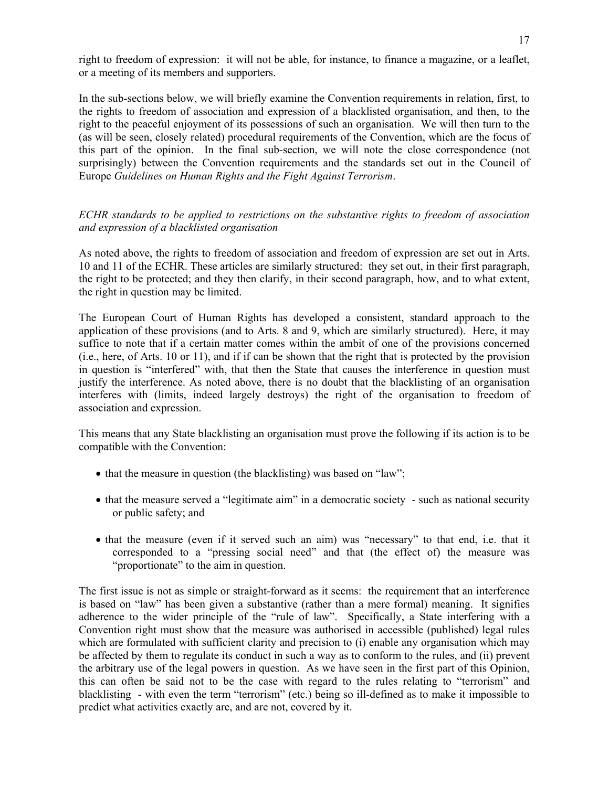right to freedom of expression: it will not be able, for instance, to finance a magazine, or a leaflet, or a meeting of its members and supporters.

In the sub-sections below, we will briefly examine the Convention requirements in relation, first, to the rights to freedom of association and expression of a blacklisted organisation, and then, to the right to the peaceful enjoyment of its possessions of such an organisation. We will then turn to the (as will be seen, closely related) procedural requirements of the Convention, which are the focus of this part of the opinion. In the final sub-section, we will note the close correspondence (not surprisingly) between the Convention requirements and the standards set out in the Council of Europe *Guidelines on Human Rights and the Fight Against Terrorism*.

# *ECHR standards to be applied to restrictions on the substantive rights to freedom of association and expression of a blacklisted organisation*

As noted above, the rights to freedom of association and freedom of expression are set out in Arts. 10 and 11 of the ECHR. These articles are similarly structured: they set out, in their first paragraph, the right to be protected; and they then clarify, in their second paragraph, how, and to what extent, the right in question may be limited.

The European Court of Human Rights has developed a consistent, standard approach to the application of these provisions (and to Arts. 8 and 9, which are similarly structured). Here, it may suffice to note that if a certain matter comes within the ambit of one of the provisions concerned (i.e., here, of Arts. 10 or 11), and if if can be shown that the right that is protected by the provision in question is "interfered" with, that then the State that causes the interference in question must justify the interference. As noted above, there is no doubt that the blacklisting of an organisation interferes with (limits, indeed largely destroys) the right of the organisation to freedom of association and expression.

This means that any State blacklisting an organisation must prove the following if its action is to be compatible with the Convention:

- that the measure in question (the blacklisting) was based on "law";
- that the measure served a "legitimate aim" in a democratic society such as national security or public safety; and
- that the measure (even if it served such an aim) was "necessary" to that end, i.e. that it corresponded to a "pressing social need" and that (the effect of) the measure was "proportionate" to the aim in question.

The first issue is not as simple or straight-forward as it seems: the requirement that an interference is based on "law" has been given a substantive (rather than a mere formal) meaning. It signifies adherence to the wider principle of the "rule of law". Specifically, a State interfering with a Convention right must show that the measure was authorised in accessible (published) legal rules which are formulated with sufficient clarity and precision to (i) enable any organisation which may be affected by them to regulate its conduct in such a way as to conform to the rules, and (ii) prevent the arbitrary use of the legal powers in question. As we have seen in the first part of this Opinion, this can often be said not to be the case with regard to the rules relating to "terrorism" and blacklisting - with even the term "terrorism" (etc.) being so ill-defined as to make it impossible to predict what activities exactly are, and are not, covered by it.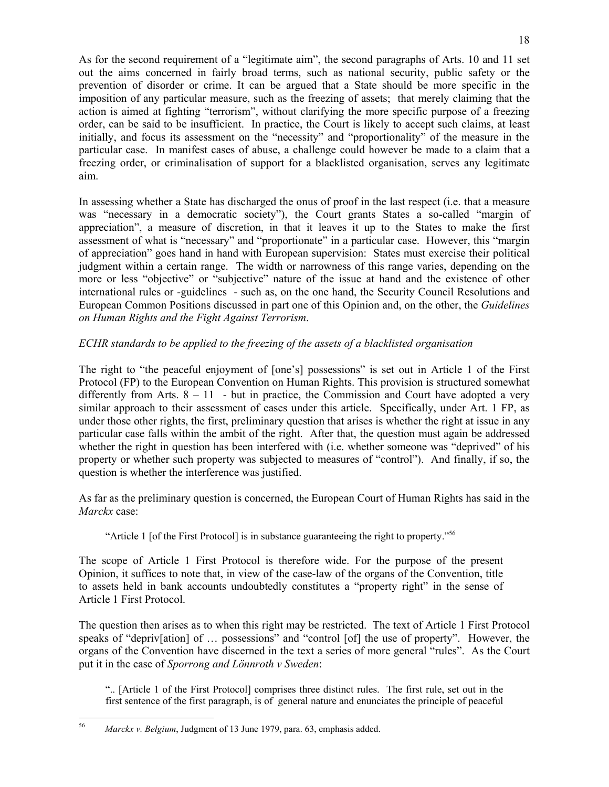As for the second requirement of a "legitimate aim", the second paragraphs of Arts. 10 and 11 set out the aims concerned in fairly broad terms, such as national security, public safety or the prevention of disorder or crime. It can be argued that a State should be more specific in the imposition of any particular measure, such as the freezing of assets; that merely claiming that the action is aimed at fighting "terrorism", without clarifying the more specific purpose of a freezing order, can be said to be insufficient. In practice, the Court is likely to accept such claims, at least initially, and focus its assessment on the "necessity" and "proportionality" of the measure in the particular case. In manifest cases of abuse, a challenge could however be made to a claim that a freezing order, or criminalisation of support for a blacklisted organisation, serves any legitimate aim.

In assessing whether a State has discharged the onus of proof in the last respect (i.e. that a measure was "necessary in a democratic society"), the Court grants States a so-called "margin of appreciation", a measure of discretion, in that it leaves it up to the States to make the first assessment of what is "necessary" and "proportionate" in a particular case. However, this "margin of appreciation" goes hand in hand with European supervision: States must exercise their political judgment within a certain range. The width or narrowness of this range varies, depending on the more or less "objective" or "subjective" nature of the issue at hand and the existence of other international rules or -guidelines - such as, on the one hand, the Security Council Resolutions and European Common Positions discussed in part one of this Opinion and, on the other, the *Guidelines on Human Rights and the Fight Against Terrorism*.

# *ECHR standards to be applied to the freezing of the assets of a blacklisted organisation*

The right to "the peaceful enjoyment of [one's] possessions" is set out in Article 1 of the First Protocol (FP) to the European Convention on Human Rights. This provision is structured somewhat differently from Arts.  $8 - 11$  - but in practice, the Commission and Court have adopted a very similar approach to their assessment of cases under this article. Specifically, under Art. 1 FP, as under those other rights, the first, preliminary question that arises is whether the right at issue in any particular case falls within the ambit of the right. After that, the question must again be addressed whether the right in question has been interfered with (i.e. whether someone was "deprived" of his property or whether such property was subjected to measures of "control"). And finally, if so, the question is whether the interference was justified.

As far as the preliminary question is concerned, the European Court of Human Rights has said in the *Marckx* case:

"Article 1 [of the First Protocol] is in substance guaranteeing the right to property."56

The scope of Article 1 First Protocol is therefore wide. For the purpose of the present Opinion, it suffices to note that, in view of the case-law of the organs of the Convention, title to assets held in bank accounts undoubtedly constitutes a "property right" in the sense of Article 1 First Protocol.

The question then arises as to when this right may be restricted. The text of Article 1 First Protocol speaks of "depriv[ation] of … possessions" and "control [of] the use of property". However, the organs of the Convention have discerned in the text a series of more general "rules". As the Court put it in the case of *Sporrong and Lönnroth v Sweden*:

".. [Article 1 of the First Protocol] comprises three distinct rules. The first rule, set out in the first sentence of the first paragraph, is of general nature and enunciates the principle of peaceful

<sup>56</sup> 56 *Marckx v. Belgium*, Judgment of 13 June 1979, para. 63, emphasis added.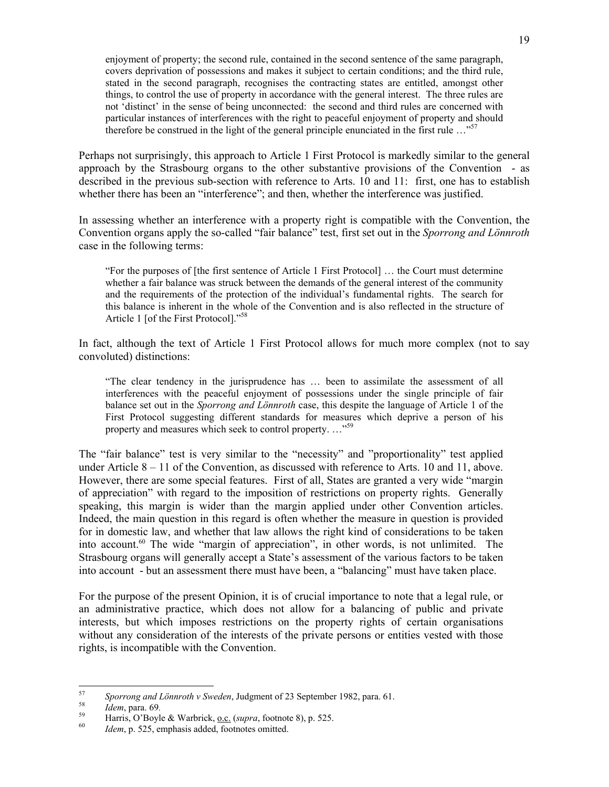enjoyment of property; the second rule, contained in the second sentence of the same paragraph, covers deprivation of possessions and makes it subject to certain conditions; and the third rule, stated in the second paragraph, recognises the contracting states are entitled, amongst other things, to control the use of property in accordance with the general interest. The three rules are not 'distinct' in the sense of being unconnected: the second and third rules are concerned with particular instances of interferences with the right to peaceful enjoyment of property and should therefore be construed in the light of the general principle enunciated in the first rule  $\ldots$ <sup>57</sup>

Perhaps not surprisingly, this approach to Article 1 First Protocol is markedly similar to the general approach by the Strasbourg organs to the other substantive provisions of the Convention - as described in the previous sub-section with reference to Arts. 10 and 11: first, one has to establish whether there has been an "interference"; and then, whether the interference was justified.

In assessing whether an interference with a property right is compatible with the Convention, the Convention organs apply the so-called "fair balance" test, first set out in the *Sporrong and Lönnroth* case in the following terms:

"For the purposes of [the first sentence of Article 1 First Protocol] … the Court must determine whether a fair balance was struck between the demands of the general interest of the community and the requirements of the protection of the individual's fundamental rights. The search for this balance is inherent in the whole of the Convention and is also reflected in the structure of Article 1 [of the First Protocol]."<sup>58</sup>

In fact, although the text of Article 1 First Protocol allows for much more complex (not to say convoluted) distinctions:

"The clear tendency in the jurisprudence has … been to assimilate the assessment of all interferences with the peaceful enjoyment of possessions under the single principle of fair balance set out in the *Sporrong and Lönnroth* case, this despite the language of Article 1 of the First Protocol suggesting different standards for measures which deprive a person of his property and measures which seek to control property...."<sup>59</sup>

The "fair balance" test is very similar to the "necessity" and "proportionality" test applied under Article 8 – 11 of the Convention, as discussed with reference to Arts. 10 and 11, above. However, there are some special features. First of all, States are granted a very wide "margin of appreciation" with regard to the imposition of restrictions on property rights. Generally speaking, this margin is wider than the margin applied under other Convention articles. Indeed, the main question in this regard is often whether the measure in question is provided for in domestic law, and whether that law allows the right kind of considerations to be taken into account.<sup>60</sup> The wide "margin of appreciation", in other words, is not unlimited. The Strasbourg organs will generally accept a State's assessment of the various factors to be taken into account - but an assessment there must have been, a "balancing" must have taken place.

For the purpose of the present Opinion, it is of crucial importance to note that a legal rule, or an administrative practice, which does not allow for a balancing of public and private interests, but which imposes restrictions on the property rights of certain organisations without any consideration of the interests of the private persons or entities vested with those rights, is incompatible with the Convention.

<sup>57</sup> <sup>57</sup> Sporrong and Lönnroth v Sweden, Judgment of 23 September 1982, para. 61.<br> *Idem*, para. 69.<br>
Harris, O'Boyle & Warbrick, <u>o.c.</u> (*supra*, footnote 8), p. 525.<br> *Idem*, p. 525, emphasis added, footnotes omitted.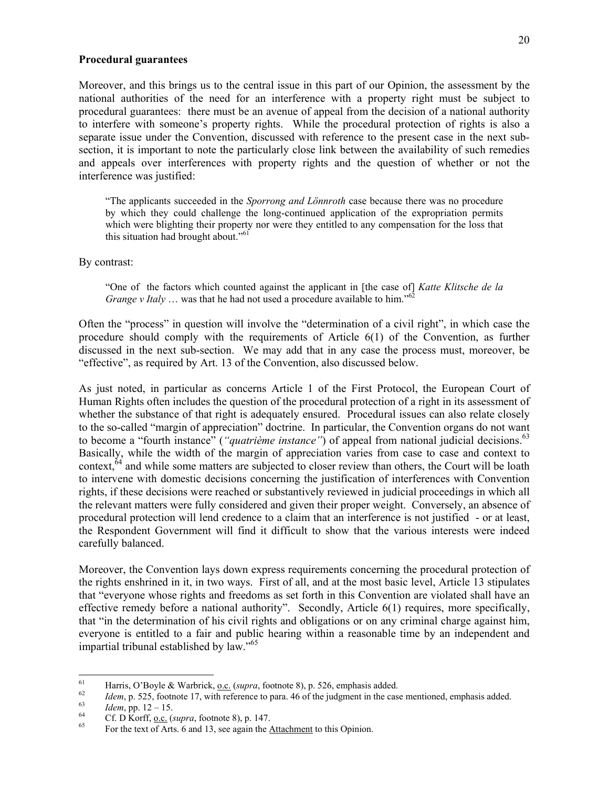#### **Procedural guarantees**

Moreover, and this brings us to the central issue in this part of our Opinion, the assessment by the national authorities of the need for an interference with a property right must be subject to procedural guarantees: there must be an avenue of appeal from the decision of a national authority to interfere with someone's property rights. While the procedural protection of rights is also a separate issue under the Convention, discussed with reference to the present case in the next subsection, it is important to note the particularly close link between the availability of such remedies and appeals over interferences with property rights and the question of whether or not the interference was justified:

"The applicants succeeded in the *Sporrong and Lönnroth* case because there was no procedure by which they could challenge the long-continued application of the expropriation permits which were blighting their property nor were they entitled to any compensation for the loss that this situation had brought about."<sup>61</sup>

By contrast:

"One of the factors which counted against the applicant in [the case of] *Katte Klitsche de la Grange v Italy* ... was that he had not used a procedure available to him."<sup>6</sup>

Often the "process" in question will involve the "determination of a civil right", in which case the procedure should comply with the requirements of Article 6(1) of the Convention, as further discussed in the next sub-section. We may add that in any case the process must, moreover, be "effective", as required by Art. 13 of the Convention, also discussed below.

As just noted, in particular as concerns Article 1 of the First Protocol, the European Court of Human Rights often includes the question of the procedural protection of a right in its assessment of whether the substance of that right is adequately ensured. Procedural issues can also relate closely to the so-called "margin of appreciation" doctrine. In particular, the Convention organs do not want to become a "fourth instance" ("quatrième instance") of appeal from national judicial decisions.<sup>63</sup> Basically, while the width of the margin of appreciation varies from case to case and context to context,<sup>64</sup> and while some matters are subjected to closer review than others, the Court will be loath to intervene with domestic decisions concerning the justification of interferences with Convention rights, if these decisions were reached or substantively reviewed in judicial proceedings in which all the relevant matters were fully considered and given their proper weight. Conversely, an absence of procedural protection will lend credence to a claim that an interference is not justified - or at least, the Respondent Government will find it difficult to show that the various interests were indeed carefully balanced.

Moreover, the Convention lays down express requirements concerning the procedural protection of the rights enshrined in it, in two ways. First of all, and at the most basic level, Article 13 stipulates that "everyone whose rights and freedoms as set forth in this Convention are violated shall have an effective remedy before a national authority". Secondly, Article 6(1) requires, more specifically, that "in the determination of his civil rights and obligations or on any criminal charge against him, everyone is entitled to a fair and public hearing within a reasonable time by an independent and impartial tribunal established by law."<sup>65</sup>

<sup>61</sup> 

Harris, O'Boyle & Warbrick, <u>o.c.</u> (*supra*, footnote 8), p. 526, emphasis added.<br> *dem*, p. 525, footnote 17, with reference to para. 46 of the judgment in the case mentioned, emphasis added.<br> *dem*, pp. 12 – 15.<br>
Cf. D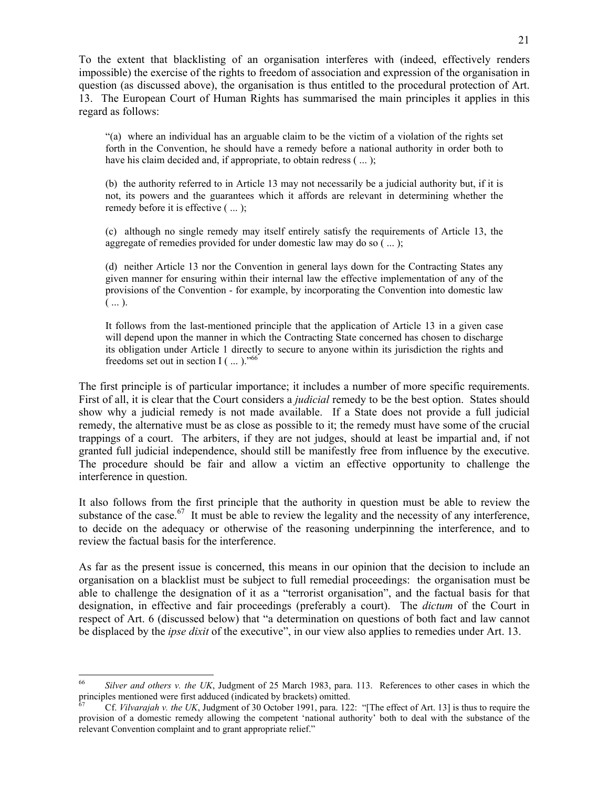To the extent that blacklisting of an organisation interferes with (indeed, effectively renders impossible) the exercise of the rights to freedom of association and expression of the organisation in question (as discussed above), the organisation is thus entitled to the procedural protection of Art. 13. The European Court of Human Rights has summarised the main principles it applies in this regard as follows:

"(a) where an individual has an arguable claim to be the victim of a violation of the rights set forth in the Convention, he should have a remedy before a national authority in order both to have his claim decided and, if appropriate, to obtain redress  $(\dots)$ ;

(b) the authority referred to in Article 13 may not necessarily be a judicial authority but, if it is not, its powers and the guarantees which it affords are relevant in determining whether the remedy before it is effective ( ... );

(c) although no single remedy may itself entirely satisfy the requirements of Article 13, the aggregate of remedies provided for under domestic law may do so ( ... );

(d) neither Article 13 nor the Convention in general lays down for the Contracting States any given manner for ensuring within their internal law the effective implementation of any of the provisions of the Convention - for example, by incorporating the Convention into domestic law  $(...).$ 

It follows from the last-mentioned principle that the application of Article 13 in a given case will depend upon the manner in which the Contracting State concerned has chosen to discharge its obligation under Article 1 directly to secure to anyone within its jurisdiction the rights and freedoms set out in section I ( $\dots$ )."<sup>66</sup>

The first principle is of particular importance; it includes a number of more specific requirements. First of all, it is clear that the Court considers a *judicial* remedy to be the best option. States should show why a judicial remedy is not made available. If a State does not provide a full judicial remedy, the alternative must be as close as possible to it; the remedy must have some of the crucial trappings of a court. The arbiters, if they are not judges, should at least be impartial and, if not granted full judicial independence, should still be manifestly free from influence by the executive. The procedure should be fair and allow a victim an effective opportunity to challenge the interference in question.

It also follows from the first principle that the authority in question must be able to review the substance of the case.<sup>67</sup> It must be able to review the legality and the necessity of any interference, to decide on the adequacy or otherwise of the reasoning underpinning the interference, and to review the factual basis for the interference.

As far as the present issue is concerned, this means in our opinion that the decision to include an organisation on a blacklist must be subject to full remedial proceedings: the organisation must be able to challenge the designation of it as a "terrorist organisation", and the factual basis for that designation, in effective and fair proceedings (preferably a court). The *dictum* of the Court in respect of Art. 6 (discussed below) that "a determination on questions of both fact and law cannot be displaced by the *ipse dixit* of the executive", in our view also applies to remedies under Art. 13.

<sup>66</sup> Silver and others v. the UK, Judgment of 25 March 1983, para. 113. References to other cases in which the principles mentioned were first adduced (indicated by brackets) omitted.

<sup>67</sup> Cf. *Vilvarajah v. the UK*, Judgment of 30 October 1991, para. 122: "[The effect of Art. 13] is thus to require the provision of a domestic remedy allowing the competent 'national authority' both to deal with the substance of the relevant Convention complaint and to grant appropriate relief."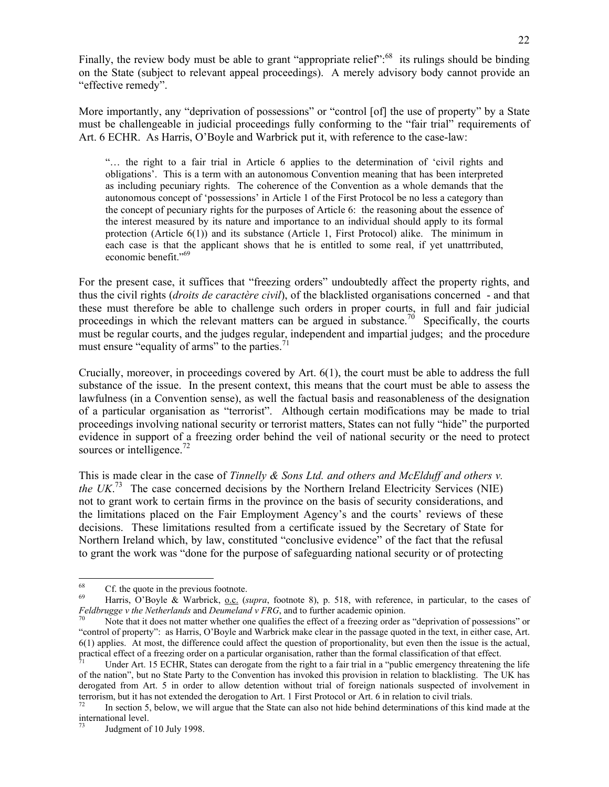Finally, the review body must be able to grant "appropriate relief":  $68$  its rulings should be binding on the State (subject to relevant appeal proceedings). A merely advisory body cannot provide an "effective remedy".

More importantly, any "deprivation of possessions" or "control [of] the use of property" by a State must be challengeable in judicial proceedings fully conforming to the "fair trial" requirements of Art. 6 ECHR. As Harris, O'Boyle and Warbrick put it, with reference to the case-law:

"… the right to a fair trial in Article 6 applies to the determination of 'civil rights and obligations'. This is a term with an autonomous Convention meaning that has been interpreted as including pecuniary rights. The coherence of the Convention as a whole demands that the autonomous concept of 'possessions' in Article 1 of the First Protocol be no less a category than the concept of pecuniary rights for the purposes of Article 6: the reasoning about the essence of the interest measured by its nature and importance to an individual should apply to its formal protection (Article 6(1)) and its substance (Article 1, First Protocol) alike. The minimum in each case is that the applicant shows that he is entitled to some real, if yet unattrributed, economic benefit."<sup>69</sup>

For the present case, it suffices that "freezing orders" undoubtedly affect the property rights, and thus the civil rights (*droits de caractère civil*), of the blacklisted organisations concerned - and that these must therefore be able to challenge such orders in proper courts, in full and fair judicial proceedings in which the relevant matters can be argued in substance.<sup>70</sup> Specifically, the courts must be regular courts, and the judges regular, independent and impartial judges; and the procedure must ensure "equality of arms" to the parties. $^{71}$ 

Crucially, moreover, in proceedings covered by Art. 6(1), the court must be able to address the full substance of the issue. In the present context, this means that the court must be able to assess the lawfulness (in a Convention sense), as well the factual basis and reasonableness of the designation of a particular organisation as "terrorist". Although certain modifications may be made to trial proceedings involving national security or terrorist matters, States can not fully "hide" the purported evidence in support of a freezing order behind the veil of national security or the need to protect sources or intelligence.<sup>72</sup>

This is made clear in the case of *Tinnelly & Sons Ltd. and others and McElduff and others v. the UK*<sup>73</sup> The case concerned decisions by the Northern Ireland Electricity Services (NIE) not to grant work to certain firms in the province on the basis of security considerations, and the limitations placed on the Fair Employment Agency's and the courts' reviews of these decisions. These limitations resulted from a certificate issued by the Secretary of State for Northern Ireland which, by law, constituted "conclusive evidence" of the fact that the refusal to grant the work was "done for the purpose of safeguarding national security or of protecting

<sup>68</sup>  $^{68}$  Cf. the quote in the previous footnote.

Harris, O'Boyle & Warbrick, <u>o.c.</u> (*supra*, footnote 8), p. 518, with reference, in particular, to the cases of *Feldbrugge v the Netherlands* and *Deumeland v FRG*, and to further academic opinion.<br><sup>70</sup> Note that it does not matter whether one qualifies the effect of a freezing order as "deprivation of possessions" or

<sup>&</sup>quot;control of property": as Harris, O'Boyle and Warbrick make clear in the passage quoted in the text, in either case, Art. 6(1) applies. At most, the difference could affect the question of proportionality, but even then the issue is the actual, practical effect of a freezing order on a particular organisation, rather than the formal classification of that effect.

Under Art. 15 ECHR, States can derogate from the right to a fair trial in a "public emergency threatening the life of the nation", but no State Party to the Convention has invoked this provision in relation to blacklisting. The UK has derogated from Art. 5 in order to allow detention without trial of foreign nationals suspected of involvement in terrorism, but it has not extended the derogation to Art. 1 First Protocol or Art. 6 in relation to civil trials.

In section 5, below, we will argue that the State can also not hide behind determinations of this kind made at the international level.

Judgment of 10 July 1998.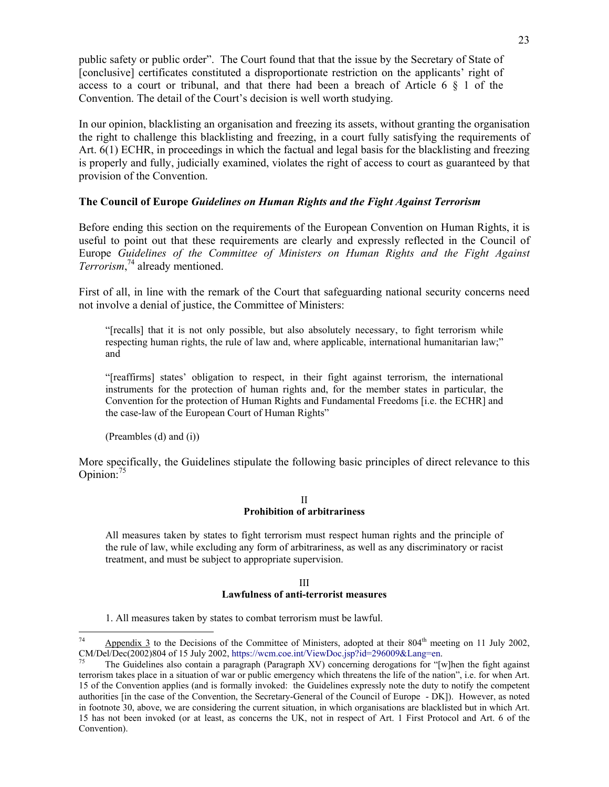public safety or public order". The Court found that that the issue by the Secretary of State of [conclusive] certificates constituted a disproportionate restriction on the applicants' right of access to a court or tribunal, and that there had been a breach of Article 6  $\S$  1 of the Convention. The detail of the Court's decision is well worth studying.

In our opinion, blacklisting an organisation and freezing its assets, without granting the organisation the right to challenge this blacklisting and freezing, in a court fully satisfying the requirements of Art. 6(1) ECHR, in proceedings in which the factual and legal basis for the blacklisting and freezing is properly and fully, judicially examined, violates the right of access to court as guaranteed by that provision of the Convention.

## **The Council of Europe** *Guidelines on Human Rights and the Fight Against Terrorism*

Before ending this section on the requirements of the European Convention on Human Rights, it is useful to point out that these requirements are clearly and expressly reflected in the Council of Europe *Guidelines of the Committee of Ministers on Human Rights and the Fight Against Terrorism*, 74 already mentioned.

First of all, in line with the remark of the Court that safeguarding national security concerns need not involve a denial of justice, the Committee of Ministers:

"[recalls] that it is not only possible, but also absolutely necessary, to fight terrorism while respecting human rights, the rule of law and, where applicable, international humanitarian law;" and

"[reaffirms] states' obligation to respect, in their fight against terrorism, the international instruments for the protection of human rights and, for the member states in particular, the Convention for the protection of Human Rights and Fundamental Freedoms [i.e. the ECHR] and the case-law of the European Court of Human Rights"

(Preambles (d) and (i))

More specifically, the Guidelines stipulate the following basic principles of direct relevance to this Opinion: $75$ 

#### II **Prohibition of arbitrariness**

All measures taken by states to fight terrorism must respect human rights and the principle of the rule of law, while excluding any form of arbitrariness, as well as any discriminatory or racist treatment, and must be subject to appropriate supervision.

#### III **Lawfulness of anti-terrorist measures**

1. All measures taken by states to combat terrorism must be lawful.

<sup>74</sup> Appendix 3 to the Decisions of the Committee of Ministers, adopted at their  $804<sup>th</sup>$  meeting on 11 July 2002, CM/Del/Dec(2002)804 of 15 July 2002, https://wcm.coe.int/ViewDoc.jsp?id=296009&Lang=en.<br><sup>75</sup> The Guidelines also contain a paragraph (Paragraph XV) concerning derogations for "[w]hen the fight against

terrorism takes place in a situation of war or public emergency which threatens the life of the nation", i.e. for when Art. 15 of the Convention applies (and is formally invoked: the Guidelines expressly note the duty to notify the competent authorities [in the case of the Convention, the Secretary-General of the Council of Europe - DK]). However, as noted in footnote 30, above, we are considering the current situation, in which organisations are blacklisted but in which Art. 15 has not been invoked (or at least, as concerns the UK, not in respect of Art. 1 First Protocol and Art. 6 of the Convention).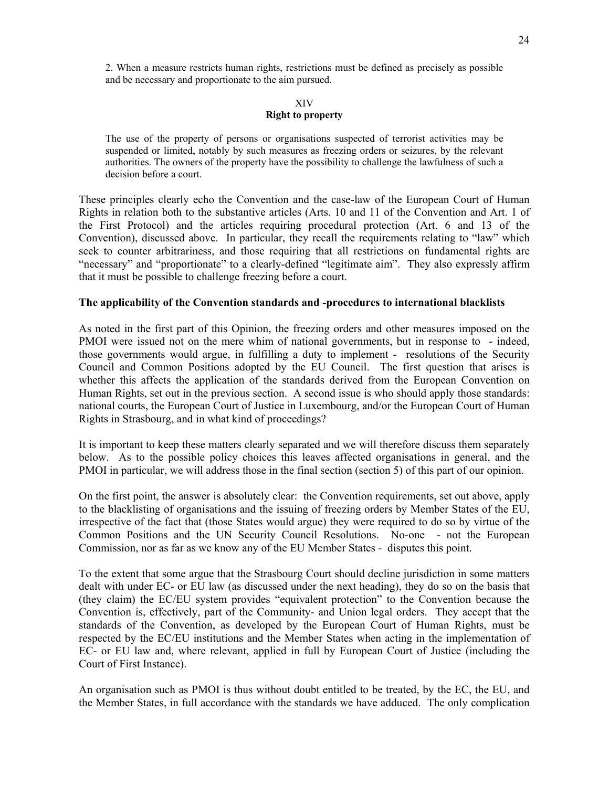2. When a measure restricts human rights, restrictions must be defined as precisely as possible and be necessary and proportionate to the aim pursued.

#### XIV

#### **Right to property**

The use of the property of persons or organisations suspected of terrorist activities may be suspended or limited, notably by such measures as freezing orders or seizures, by the relevant authorities. The owners of the property have the possibility to challenge the lawfulness of such a decision before a court.

These principles clearly echo the Convention and the case-law of the European Court of Human Rights in relation both to the substantive articles (Arts. 10 and 11 of the Convention and Art. 1 of the First Protocol) and the articles requiring procedural protection (Art. 6 and 13 of the Convention), discussed above. In particular, they recall the requirements relating to "law" which seek to counter arbitrariness, and those requiring that all restrictions on fundamental rights are "necessary" and "proportionate" to a clearly-defined "legitimate aim". They also expressly affirm that it must be possible to challenge freezing before a court.

#### **The applicability of the Convention standards and -procedures to international blacklists**

As noted in the first part of this Opinion, the freezing orders and other measures imposed on the PMOI were issued not on the mere whim of national governments, but in response to - indeed, those governments would argue, in fulfilling a duty to implement - resolutions of the Security Council and Common Positions adopted by the EU Council. The first question that arises is whether this affects the application of the standards derived from the European Convention on Human Rights, set out in the previous section. A second issue is who should apply those standards: national courts, the European Court of Justice in Luxembourg, and/or the European Court of Human Rights in Strasbourg, and in what kind of proceedings?

It is important to keep these matters clearly separated and we will therefore discuss them separately below. As to the possible policy choices this leaves affected organisations in general, and the PMOI in particular, we will address those in the final section (section 5) of this part of our opinion.

On the first point, the answer is absolutely clear: the Convention requirements, set out above, apply to the blacklisting of organisations and the issuing of freezing orders by Member States of the EU, irrespective of the fact that (those States would argue) they were required to do so by virtue of the Common Positions and the UN Security Council Resolutions. No-one - not the European Commission, nor as far as we know any of the EU Member States - disputes this point.

To the extent that some argue that the Strasbourg Court should decline jurisdiction in some matters dealt with under EC- or EU law (as discussed under the next heading), they do so on the basis that (they claim) the EC/EU system provides "equivalent protection" to the Convention because the Convention is, effectively, part of the Community- and Union legal orders. They accept that the standards of the Convention, as developed by the European Court of Human Rights, must be respected by the EC/EU institutions and the Member States when acting in the implementation of EC- or EU law and, where relevant, applied in full by European Court of Justice (including the Court of First Instance).

An organisation such as PMOI is thus without doubt entitled to be treated, by the EC, the EU, and the Member States, in full accordance with the standards we have adduced. The only complication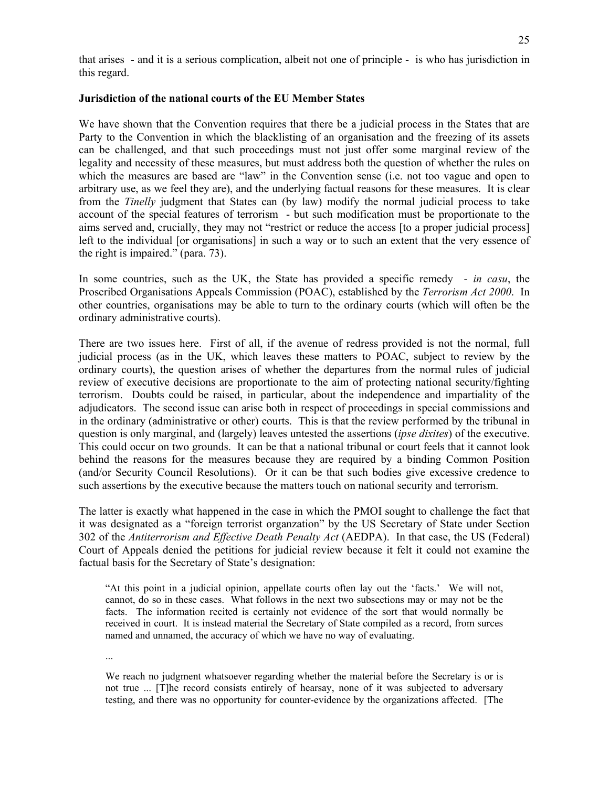that arises - and it is a serious complication, albeit not one of principle - is who has jurisdiction in this regard.

### **Jurisdiction of the national courts of the EU Member States**

We have shown that the Convention requires that there be a judicial process in the States that are Party to the Convention in which the blacklisting of an organisation and the freezing of its assets can be challenged, and that such proceedings must not just offer some marginal review of the legality and necessity of these measures, but must address both the question of whether the rules on which the measures are based are "law" in the Convention sense (i.e. not too vague and open to arbitrary use, as we feel they are), and the underlying factual reasons for these measures. It is clear from the *Tinelly* judgment that States can (by law) modify the normal judicial process to take account of the special features of terrorism - but such modification must be proportionate to the aims served and, crucially, they may not "restrict or reduce the access [to a proper judicial process] left to the individual [or organisations] in such a way or to such an extent that the very essence of the right is impaired." (para. 73).

In some countries, such as the UK, the State has provided a specific remedy - *in casu*, the Proscribed Organisations Appeals Commission (POAC), established by the *Terrorism Act 2000*. In other countries, organisations may be able to turn to the ordinary courts (which will often be the ordinary administrative courts).

There are two issues here. First of all, if the avenue of redress provided is not the normal, full judicial process (as in the UK, which leaves these matters to POAC, subject to review by the ordinary courts), the question arises of whether the departures from the normal rules of judicial review of executive decisions are proportionate to the aim of protecting national security/fighting terrorism. Doubts could be raised, in particular, about the independence and impartiality of the adjudicators. The second issue can arise both in respect of proceedings in special commissions and in the ordinary (administrative or other) courts. This is that the review performed by the tribunal in question is only marginal, and (largely) leaves untested the assertions (*ipse dixites*) of the executive. This could occur on two grounds. It can be that a national tribunal or court feels that it cannot look behind the reasons for the measures because they are required by a binding Common Position (and/or Security Council Resolutions). Or it can be that such bodies give excessive credence to such assertions by the executive because the matters touch on national security and terrorism.

The latter is exactly what happened in the case in which the PMOI sought to challenge the fact that it was designated as a "foreign terrorist organzation" by the US Secretary of State under Section 302 of the *Antiterrorism and Effective Death Penalty Act* (AEDPA). In that case, the US (Federal) Court of Appeals denied the petitions for judicial review because it felt it could not examine the factual basis for the Secretary of State's designation:

"At this point in a judicial opinion, appellate courts often lay out the 'facts.' We will not, cannot, do so in these cases. What follows in the next two subsections may or may not be the facts. The information recited is certainly not evidence of the sort that would normally be received in court. It is instead material the Secretary of State compiled as a record, from surces named and unnamed, the accuracy of which we have no way of evaluating.

...

We reach no judgment whatsoever regarding whether the material before the Secretary is or is not true ... [T]he record consists entirely of hearsay, none of it was subjected to adversary testing, and there was no opportunity for counter-evidence by the organizations affected. [The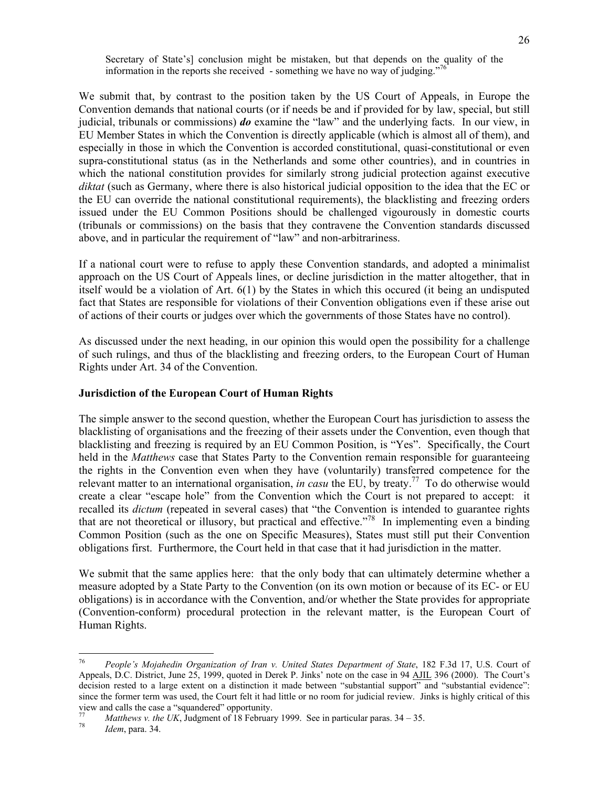Secretary of State's] conclusion might be mistaken, but that depends on the quality of the information in the reports she received - something we have no way of judging.<sup> $5\%$ </sup>

We submit that, by contrast to the position taken by the US Court of Appeals, in Europe the Convention demands that national courts (or if needs be and if provided for by law, special, but still judicial, tribunals or commissions) *do* examine the "law" and the underlying facts. In our view, in EU Member States in which the Convention is directly applicable (which is almost all of them), and especially in those in which the Convention is accorded constitutional, quasi-constitutional or even supra-constitutional status (as in the Netherlands and some other countries), and in countries in which the national constitution provides for similarly strong judicial protection against executive *diktat* (such as Germany, where there is also historical judicial opposition to the idea that the EC or the EU can override the national constitutional requirements), the blacklisting and freezing orders issued under the EU Common Positions should be challenged vigourously in domestic courts (tribunals or commissions) on the basis that they contravene the Convention standards discussed above, and in particular the requirement of "law" and non-arbitrariness.

If a national court were to refuse to apply these Convention standards, and adopted a minimalist approach on the US Court of Appeals lines, or decline jurisdiction in the matter altogether, that in itself would be a violation of Art. 6(1) by the States in which this occured (it being an undisputed fact that States are responsible for violations of their Convention obligations even if these arise out of actions of their courts or judges over which the governments of those States have no control).

As discussed under the next heading, in our opinion this would open the possibility for a challenge of such rulings, and thus of the blacklisting and freezing orders, to the European Court of Human Rights under Art. 34 of the Convention.

### **Jurisdiction of the European Court of Human Rights**

The simple answer to the second question, whether the European Court has jurisdiction to assess the blacklisting of organisations and the freezing of their assets under the Convention, even though that blacklisting and freezing is required by an EU Common Position, is "Yes". Specifically, the Court held in the *Matthews* case that States Party to the Convention remain responsible for guaranteeing the rights in the Convention even when they have (voluntarily) transferred competence for the relevant matter to an international organisation, *in casu* the EU, by treaty.<sup>77</sup> To do otherwise would create a clear "escape hole" from the Convention which the Court is not prepared to accept: it recalled its *dictum* (repeated in several cases) that "the Convention is intended to guarantee rights that are not theoretical or illusory, but practical and effective.<sup> $78$ </sup> In implementing even a binding Common Position (such as the one on Specific Measures), States must still put their Convention obligations first. Furthermore, the Court held in that case that it had jurisdiction in the matter.

We submit that the same applies here: that the only body that can ultimately determine whether a measure adopted by a State Party to the Convention (on its own motion or because of its EC- or EU obligations) is in accordance with the Convention, and/or whether the State provides for appropriate (Convention-conform) procedural protection in the relevant matter, is the European Court of Human Rights.

<sup>76</sup> *People's Mojahedin Organization of Iran v. United States Department of State*, 182 F.3d 17, U.S. Court of Appeals, D.C. District, June 25, 1999, quoted in Derek P. Jinks' note on the case in 94 AJIL 396 (2000). The Court's decision rested to a large extent on a distinction it made between "substantial support" and "substantial evidence": since the former term was used, the Court felt it had little or no room for judicial review. Jinks is highly critical of this view and calls the case a "squandered" opportunity.

<sup>77</sup>*Matthews v. the UK*, Judgment of 18 February 1999. See in particular paras. 34 – 35. 78 *Idem*, para. 34.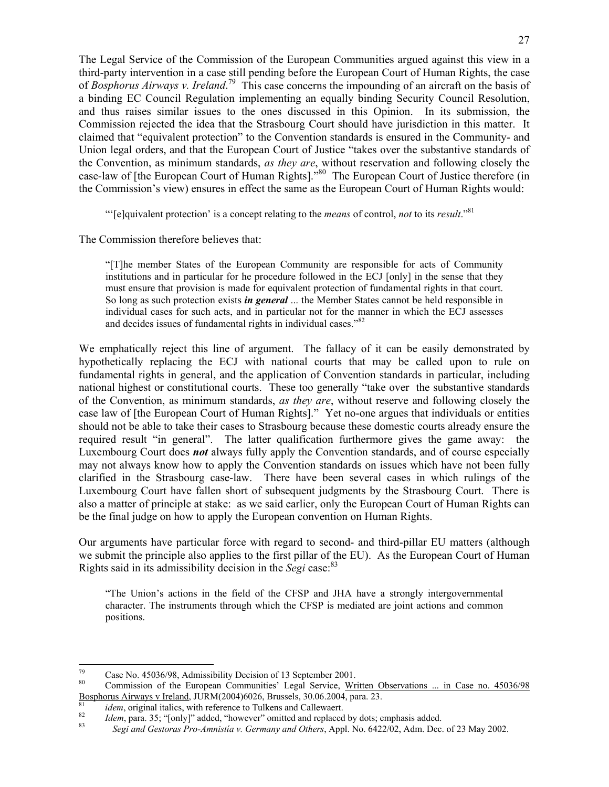The Legal Service of the Commission of the European Communities argued against this view in a third-party intervention in a case still pending before the European Court of Human Rights, the case of *Bosphorus Airways v. Ireland*. 79 This case concerns the impounding of an aircraft on the basis of a binding EC Council Regulation implementing an equally binding Security Council Resolution, and thus raises similar issues to the ones discussed in this Opinion. In its submission, the Commission rejected the idea that the Strasbourg Court should have jurisdiction in this matter. It claimed that "equivalent protection" to the Convention standards is ensured in the Community- and Union legal orders, and that the European Court of Justice "takes over the substantive standards of the Convention, as minimum standards, *as they are*, without reservation and following closely the case-law of [the European Court of Human Rights]."<sup>80</sup> The European Court of Justice therefore (in the Commission's view) ensures in effect the same as the European Court of Human Rights would:

"'[e]quivalent protection' is a concept relating to the *means* of control, *not* to its *result*."<sup>81</sup>

The Commission therefore believes that:

"[T]he member States of the European Community are responsible for acts of Community institutions and in particular for he procedure followed in the ECJ [only] in the sense that they must ensure that provision is made for equivalent protection of fundamental rights in that court. So long as such protection exists *in general* ... the Member States cannot be held responsible in individual cases for such acts, and in particular not for the manner in which the ECJ assesses and decides issues of fundamental rights in individual cases."<sup>82</sup>

We emphatically reject this line of argument. The fallacy of it can be easily demonstrated by hypothetically replacing the ECJ with national courts that may be called upon to rule on fundamental rights in general, and the application of Convention standards in particular, including national highest or constitutional courts. These too generally "take over the substantive standards of the Convention, as minimum standards, *as they are*, without reserve and following closely the case law of [the European Court of Human Rights]." Yet no-one argues that individuals or entities should not be able to take their cases to Strasbourg because these domestic courts already ensure the required result "in general". The latter qualification furthermore gives the game away: the Luxembourg Court does *not* always fully apply the Convention standards, and of course especially may not always know how to apply the Convention standards on issues which have not been fully clarified in the Strasbourg case-law. There have been several cases in which rulings of the Luxembourg Court have fallen short of subsequent judgments by the Strasbourg Court. There is also a matter of principle at stake: as we said earlier, only the European Court of Human Rights can be the final judge on how to apply the European convention on Human Rights.

Our arguments have particular force with regard to second- and third-pillar EU matters (although we submit the principle also applies to the first pillar of the EU). As the European Court of Human Rights said in its admissibility decision in the *Segi* case:<sup>83</sup>

"The Union's actions in the field of the CFSP and JHA have a strongly intergovernmental character. The instruments through which the CFSP is mediated are joint actions and common positions.

<sup>79</sup>  $^{79}$  Case No. 45036/98, Admissibility Decision of 13 September 2001.

<sup>80</sup> Commission of the European Communities' Legal Service, Written Observations ... in Case no. 45036/98 Bosphorus Airways v Ireland, JURM(2004)6026, Brussels, 30.06.2004, para. 23.<br> *idem*, original italics, with reference to Tulkens and Callewaert.<br> *sa idem*, para. 35; "[only]" added, "however" omitted and replaced by do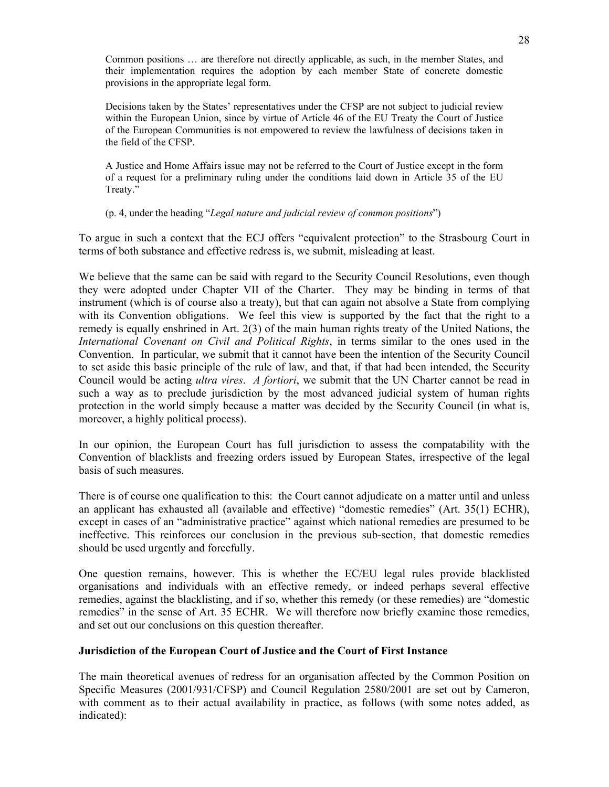Common positions … are therefore not directly applicable, as such, in the member States, and their implementation requires the adoption by each member State of concrete domestic provisions in the appropriate legal form.

Decisions taken by the States' representatives under the CFSP are not subject to judicial review within the European Union, since by virtue of Article 46 of the EU Treaty the Court of Justice of the European Communities is not empowered to review the lawfulness of decisions taken in the field of the CFSP.

A Justice and Home Affairs issue may not be referred to the Court of Justice except in the form of a request for a preliminary ruling under the conditions laid down in Article 35 of the EU Treaty."

### (p. 4, under the heading "*Legal nature and judicial review of common positions*")

To argue in such a context that the ECJ offers "equivalent protection" to the Strasbourg Court in terms of both substance and effective redress is, we submit, misleading at least.

We believe that the same can be said with regard to the Security Council Resolutions, even though they were adopted under Chapter VII of the Charter. They may be binding in terms of that instrument (which is of course also a treaty), but that can again not absolve a State from complying with its Convention obligations. We feel this view is supported by the fact that the right to a remedy is equally enshrined in Art. 2(3) of the main human rights treaty of the United Nations, the *International Covenant on Civil and Political Rights*, in terms similar to the ones used in the Convention. In particular, we submit that it cannot have been the intention of the Security Council to set aside this basic principle of the rule of law, and that, if that had been intended, the Security Council would be acting *ultra vires*. *A fortiori*, we submit that the UN Charter cannot be read in such a way as to preclude jurisdiction by the most advanced judicial system of human rights protection in the world simply because a matter was decided by the Security Council (in what is, moreover, a highly political process).

In our opinion, the European Court has full jurisdiction to assess the compatability with the Convention of blacklists and freezing orders issued by European States, irrespective of the legal basis of such measures.

There is of course one qualification to this: the Court cannot adjudicate on a matter until and unless an applicant has exhausted all (available and effective) "domestic remedies" (Art. 35(1) ECHR), except in cases of an "administrative practice" against which national remedies are presumed to be ineffective. This reinforces our conclusion in the previous sub-section, that domestic remedies should be used urgently and forcefully.

One question remains, however. This is whether the EC/EU legal rules provide blacklisted organisations and individuals with an effective remedy, or indeed perhaps several effective remedies, against the blacklisting, and if so, whether this remedy (or these remedies) are "domestic remedies" in the sense of Art. 35 ECHR. We will therefore now briefly examine those remedies, and set out our conclusions on this question thereafter.

## **Jurisdiction of the European Court of Justice and the Court of First Instance**

The main theoretical avenues of redress for an organisation affected by the Common Position on Specific Measures (2001/931/CFSP) and Council Regulation 2580/2001 are set out by Cameron, with comment as to their actual availability in practice, as follows (with some notes added, as indicated):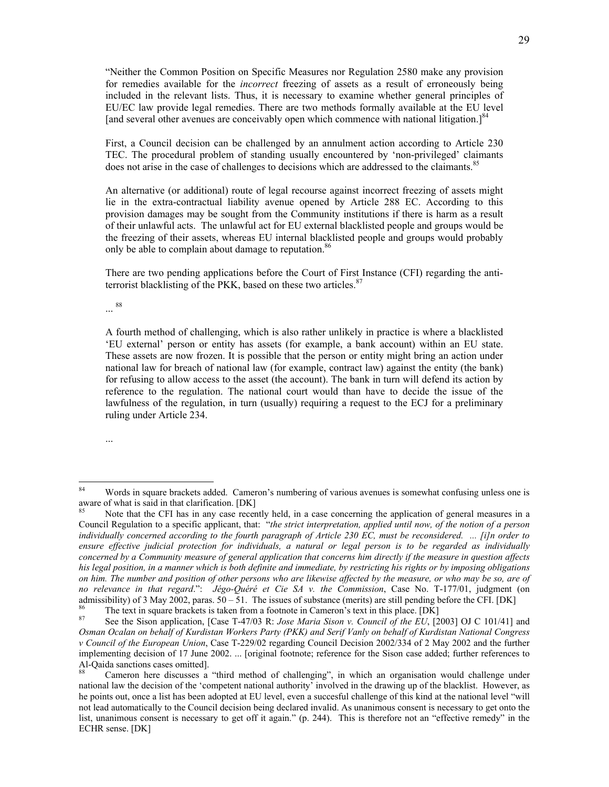"Neither the Common Position on Specific Measures nor Regulation 2580 make any provision for remedies available for the *incorrect* freezing of assets as a result of erroneously being included in the relevant lists. Thus, it is necessary to examine whether general principles of EU/EC law provide legal remedies. There are two methods formally available at the EU level [and several other avenues are conceivably open which commence with national litigation.]<sup>84</sup>

First, a Council decision can be challenged by an annulment action according to Article 230 TEC. The procedural problem of standing usually encountered by 'non-privileged' claimants does not arise in the case of challenges to decisions which are addressed to the claimants.<sup>85</sup>

An alternative (or additional) route of legal recourse against incorrect freezing of assets might lie in the extra-contractual liability avenue opened by Article 288 EC. According to this provision damages may be sought from the Community institutions if there is harm as a result of their unlawful acts. The unlawful act for EU external blacklisted people and groups would be the freezing of their assets, whereas EU internal blacklisted people and groups would probably only be able to complain about damage to reputation.<sup>86</sup>

There are two pending applications before the Court of First Instance (CFI) regarding the antiterrorist blacklisting of the PKK, based on these two articles. $87$ 

... 88

A fourth method of challenging, which is also rather unlikely in practice is where a blacklisted 'EU external' person or entity has assets (for example, a bank account) within an EU state. These assets are now frozen. It is possible that the person or entity might bring an action under national law for breach of national law (for example, contract law) against the entity (the bank) for refusing to allow access to the asset (the account). The bank in turn will defend its action by reference to the regulation. The national court would than have to decide the issue of the lawfulness of the regulation, in turn (usually) requiring a request to the ECJ for a preliminary ruling under Article 234.

<sup>...</sup> 

<sup>84</sup> Words in square brackets added. Cameron's numbering of various avenues is somewhat confusing unless one is aware of what is said in that clarification. [DK]

Note that the CFI has in any case recently held, in a case concerning the application of general measures in a Council Regulation to a specific applicant, that: "*the strict interpretation, applied until now, of the notion of a person individually concerned according to the fourth paragraph of Article 230 EC, must be reconsidered. ... [i]n order to ensure effective judicial protection for individuals, a natural or legal person is to be regarded as individually concerned by a Community measure of general application that concerns him directly if the measure in question affects his legal position, in a manner which is both definite and immediate, by restricting his rights or by imposing obligations on him. The number and position of other persons who are likewise affected by the measure, or who may be so, are of no relevance in that regard*.": *Jégo-Quéré et Cie SA v. the Commission*, Case No. T-177/01, judgment (on admissibility) of 3 May 2002, paras. 50 – 51. The issues of substance (merits) are still pending before the CFI. [DK]<br><sup>86</sup> The text in square brackets is taken from a footnote in Cameron's text in this place. [DK]<br><sup>87</sup> Se

<sup>87</sup> See the Sison application, [Case T-47/03 R: *Jose Maria Sison v. Council of the EU*, [2003] OJ C 101/41] and *Osman Ocalan on behalf of Kurdistan Workers Party (PKK) and Serif Vanly on behalf of Kurdistan National Congress v Council of the European Union*, Case T-229/02 regarding Council Decision 2002/334 of 2 May 2002 and the further implementing decision of 17 June 2002. ... [original footnote; reference for the Sison case added; further references to Al-Qaida sanctions cases omitted].

Cameron here discusses a "third method of challenging", in which an organisation would challenge under national law the decision of the 'competent national authority' involved in the drawing up of the blacklist. However, as he points out, once a list has been adopted at EU level, even a succesful challenge of this kind at the national level "will not lead automatically to the Council decision being declared invalid. As unanimous consent is necessary to get onto the list, unanimous consent is necessary to get off it again." (p. 244). This is therefore not an "effective remedy" in the ECHR sense. [DK]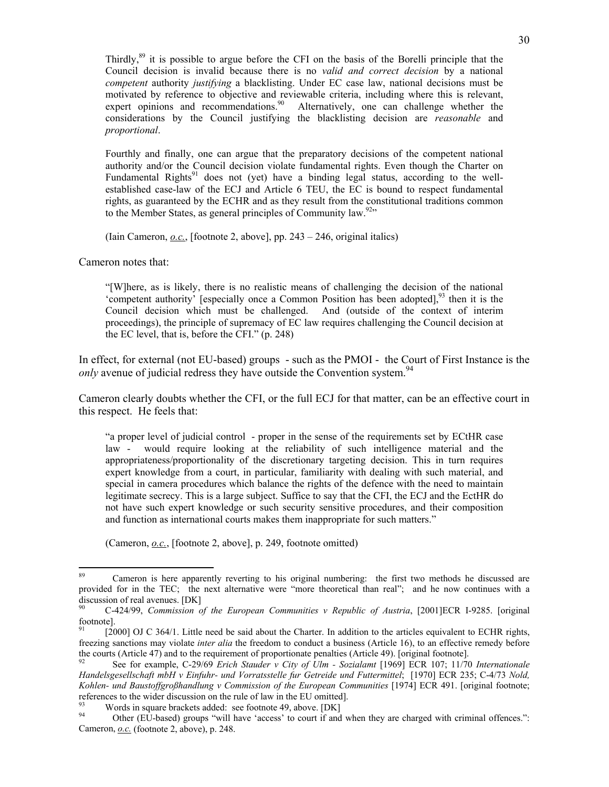Thirdly,<sup>89</sup> it is possible to argue before the CFI on the basis of the Borelli principle that the Council decision is invalid because there is no *valid and correct decision* by a national *competent* authority *justifying* a blacklisting. Under EC case law, national decisions must be motivated by reference to objective and reviewable criteria, including where this is relevant, expert opinions and recommendations.<sup>90</sup> Alternatively, one can challenge whether the considerations by the Council justifying the blacklisting decision are *reasonable* and *proportional*.

Fourthly and finally, one can argue that the preparatory decisions of the competent national authority and/or the Council decision violate fundamental rights. Even though the Charter on Fundamental Rights<sup>91</sup> does not (yet) have a binding legal status, according to the wellestablished case-law of the ECJ and Article 6 TEU, the EC is bound to respect fundamental rights, as guaranteed by the ECHR and as they result from the constitutional traditions common to the Member States, as general principles of Community law.<sup>92</sup>"

(Iain Cameron, *o.c.*, [footnote 2, above], pp. 243 – 246, original italics)

Cameron notes that:

"[W]here, as is likely, there is no realistic means of challenging the decision of the national 'competent authority' [especially once a Common Position has been adopted],<sup>93</sup> then it is the Council decision which must be challenged. And (outside of the context of interim proceedings), the principle of supremacy of EC law requires challenging the Council decision at the EC level, that is, before the CFI." (p. 248)

In effect, for external (not EU-based) groups - such as the PMOI - the Court of First Instance is the *only* avenue of judicial redress they have outside the Convention system.<sup>94</sup>

Cameron clearly doubts whether the CFI, or the full ECJ for that matter, can be an effective court in this respect. He feels that:

"a proper level of judicial control - proper in the sense of the requirements set by ECtHR case law - would require looking at the reliability of such intelligence material and the appropriateness/proportionality of the discretionary targeting decision. This in turn requires expert knowledge from a court, in particular, familiarity with dealing with such material, and special in camera procedures which balance the rights of the defence with the need to maintain legitimate secrecy. This is a large subject. Suffice to say that the CFI, the ECJ and the EctHR do not have such expert knowledge or such security sensitive procedures, and their composition and function as international courts makes them inappropriate for such matters."

(Cameron, *o.c.*, [footnote 2, above], p. 249, footnote omitted)

<sup>89</sup> Cameron is here apparently reverting to his original numbering: the first two methods he discussed are provided for in the TEC; the next alternative were "more theoretical than real"; and he now continues with a discussion of real avenues. [DK]

<sup>90</sup> C-424/99, *Commission of the European Communities v Republic of Austria*, [2001]ECR I-9285. [original footnote].

<sup>[2000]</sup> OJ C 364/1. Little need be said about the Charter. In addition to the articles equivalent to ECHR rights, freezing sanctions may violate *inter alia* the freedom to conduct a business (Article 16), to an effective remedy before the courts (Article 47) and to the requirement of proportionate penalties (Article 49). [original footnote].

<sup>92</sup> See for example, C-29/69 *Erich Stauder v City of Ulm - Sozialamt* [1969] ECR 107; 11/70 *Internationale Handelsgesellschaft mbH v Einfuhr- und Vorratsstelle fur Getreide und Futtermittel*; [1970] ECR 235; C-4/73 *Nold, Kohlen- und Baustoffgroßhandlung v Commission of the European Communities* [1974] ECR 491. [original footnote; references to the wider discussion on the rule of law in the EU omitted].

Words in square brackets added: see footnote 49, above.  $[DK]$ <br>94

Other (EU-based) groups "will have 'access' to court if and when they are charged with criminal offences.": Cameron, *o.c.* (footnote 2, above), p. 248.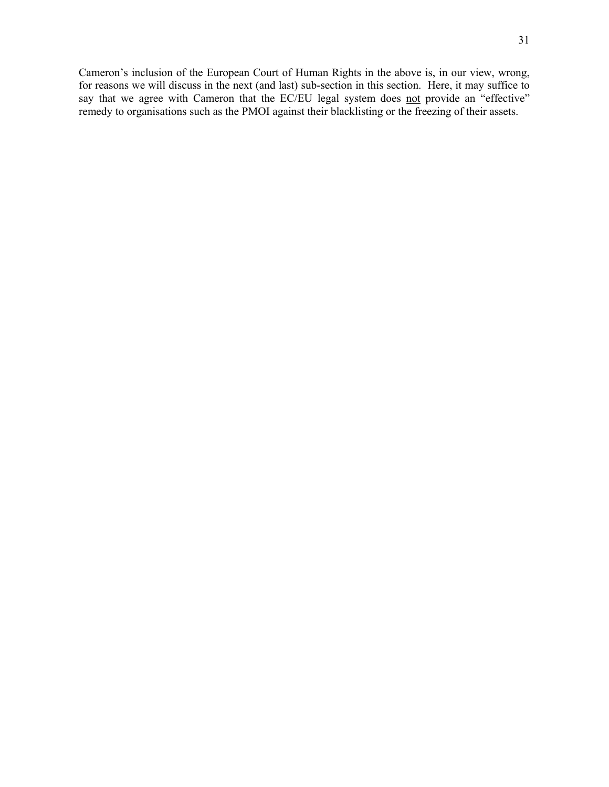Cameron's inclusion of the European Court of Human Rights in the above is, in our view, wrong, for reasons we will discuss in the next (and last) sub-section in this section. Here, it may suffice to say that we agree with Cameron that the EC/EU legal system does not provide an "effective" remedy to organisations such as the PMOI against their blacklisting or the freezing of their assets.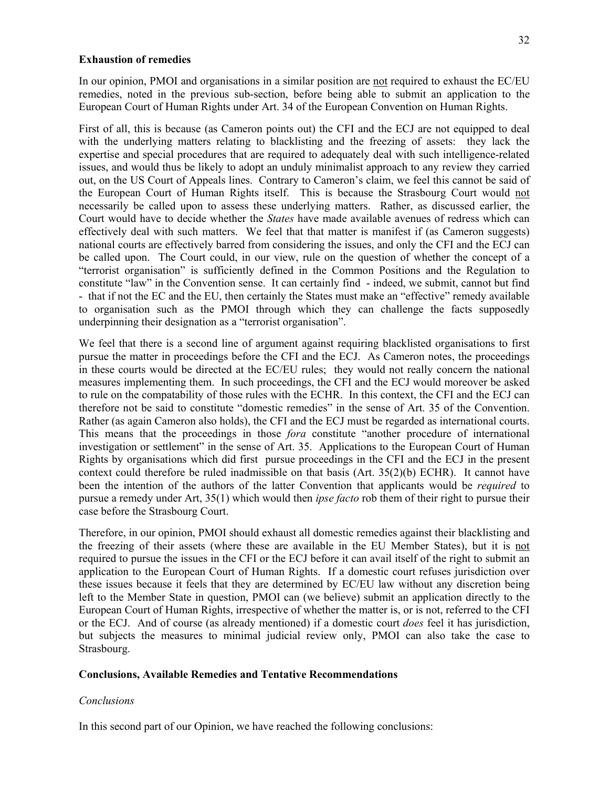#### **Exhaustion of remedies**

In our opinion, PMOI and organisations in a similar position are not required to exhaust the EC/EU remedies, noted in the previous sub-section, before being able to submit an application to the European Court of Human Rights under Art. 34 of the European Convention on Human Rights.

First of all, this is because (as Cameron points out) the CFI and the ECJ are not equipped to deal with the underlying matters relating to blacklisting and the freezing of assets: they lack the expertise and special procedures that are required to adequately deal with such intelligence-related issues, and would thus be likely to adopt an unduly minimalist approach to any review they carried out, on the US Court of Appeals lines. Contrary to Cameron's claim, we feel this cannot be said of the European Court of Human Rights itself. This is because the Strasbourg Court would not necessarily be called upon to assess these underlying matters. Rather, as discussed earlier, the Court would have to decide whether the *States* have made available avenues of redress which can effectively deal with such matters. We feel that that matter is manifest if (as Cameron suggests) national courts are effectively barred from considering the issues, and only the CFI and the ECJ can be called upon. The Court could, in our view, rule on the question of whether the concept of a "terrorist organisation" is sufficiently defined in the Common Positions and the Regulation to constitute "law" in the Convention sense. It can certainly find - indeed, we submit, cannot but find - that if not the EC and the EU, then certainly the States must make an "effective" remedy available to organisation such as the PMOI through which they can challenge the facts supposedly underpinning their designation as a "terrorist organisation".

We feel that there is a second line of argument against requiring blacklisted organisations to first pursue the matter in proceedings before the CFI and the ECJ. As Cameron notes, the proceedings in these courts would be directed at the EC/EU rules; they would not really concern the national measures implementing them. In such proceedings, the CFI and the ECJ would moreover be asked to rule on the compatability of those rules with the ECHR. In this context, the CFI and the ECJ can therefore not be said to constitute "domestic remedies" in the sense of Art. 35 of the Convention. Rather (as again Cameron also holds), the CFI and the ECJ must be regarded as international courts. This means that the proceedings in those *fora* constitute "another procedure of international investigation or settlement" in the sense of Art. 35. Applications to the European Court of Human Rights by organisations which did first pursue proceedings in the CFI and the ECJ in the present context could therefore be ruled inadmissible on that basis  $(Art. 35(2)(b)$  ECHR). It cannot have been the intention of the authors of the latter Convention that applicants would be *required* to pursue a remedy under Art, 35(1) which would then *ipse facto* rob them of their right to pursue their case before the Strasbourg Court.

Therefore, in our opinion, PMOI should exhaust all domestic remedies against their blacklisting and the freezing of their assets (where these are available in the EU Member States), but it is not required to pursue the issues in the CFI or the ECJ before it can avail itself of the right to submit an application to the European Court of Human Rights. If a domestic court refuses jurisdiction over these issues because it feels that they are determined by EC/EU law without any discretion being left to the Member State in question, PMOI can (we believe) submit an application directly to the European Court of Human Rights, irrespective of whether the matter is, or is not, referred to the CFI or the ECJ. And of course (as already mentioned) if a domestic court *does* feel it has jurisdiction, but subjects the measures to minimal judicial review only, PMOI can also take the case to Strasbourg.

#### **Conclusions, Available Remedies and Tentative Recommendations**

#### *Conclusions*

In this second part of our Opinion, we have reached the following conclusions: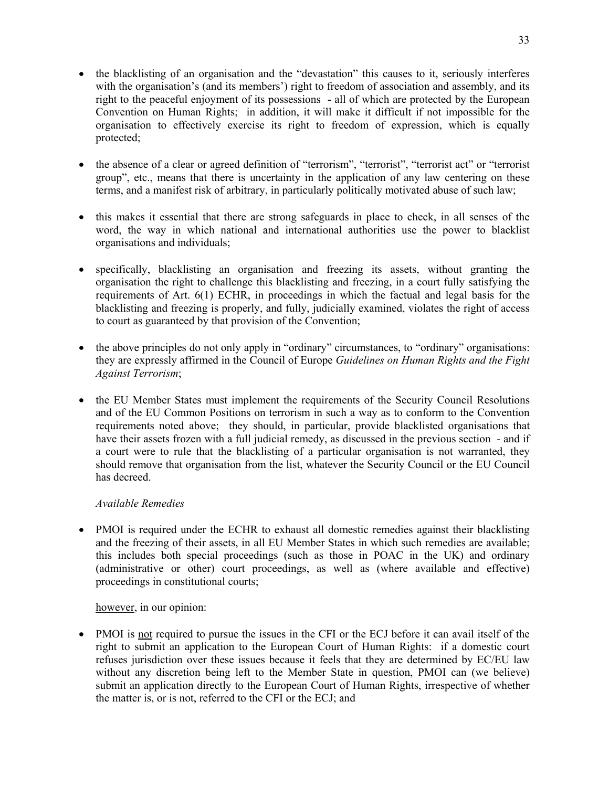- the blacklisting of an organisation and the "devastation" this causes to it, seriously interferes with the organisation's (and its members') right to freedom of association and assembly, and its right to the peaceful enjoyment of its possessions - all of which are protected by the European Convention on Human Rights; in addition, it will make it difficult if not impossible for the organisation to effectively exercise its right to freedom of expression, which is equally protected;
- the absence of a clear or agreed definition of "terrorism", "terrorist", "terrorist act" or "terrorist" group", etc., means that there is uncertainty in the application of any law centering on these terms, and a manifest risk of arbitrary, in particularly politically motivated abuse of such law;
- this makes it essential that there are strong safeguards in place to check, in all senses of the word, the way in which national and international authorities use the power to blacklist organisations and individuals;
- specifically, blacklisting an organisation and freezing its assets, without granting the organisation the right to challenge this blacklisting and freezing, in a court fully satisfying the requirements of Art. 6(1) ECHR, in proceedings in which the factual and legal basis for the blacklisting and freezing is properly, and fully, judicially examined, violates the right of access to court as guaranteed by that provision of the Convention;
- the above principles do not only apply in "ordinary" circumstances, to "ordinary" organisations: they are expressly affirmed in the Council of Europe *Guidelines on Human Rights and the Fight Against Terrorism*;
- the EU Member States must implement the requirements of the Security Council Resolutions and of the EU Common Positions on terrorism in such a way as to conform to the Convention requirements noted above; they should, in particular, provide blacklisted organisations that have their assets frozen with a full judicial remedy, as discussed in the previous section - and if a court were to rule that the blacklisting of a particular organisation is not warranted, they should remove that organisation from the list, whatever the Security Council or the EU Council has decreed.

# *Available Remedies*

• PMOI is required under the ECHR to exhaust all domestic remedies against their blacklisting and the freezing of their assets, in all EU Member States in which such remedies are available; this includes both special proceedings (such as those in POAC in the UK) and ordinary (administrative or other) court proceedings, as well as (where available and effective) proceedings in constitutional courts;

however, in our opinion:

• PMOI is not required to pursue the issues in the CFI or the ECJ before it can avail itself of the right to submit an application to the European Court of Human Rights: if a domestic court refuses jurisdiction over these issues because it feels that they are determined by EC/EU law without any discretion being left to the Member State in question, PMOI can (we believe) submit an application directly to the European Court of Human Rights, irrespective of whether the matter is, or is not, referred to the CFI or the ECJ; and